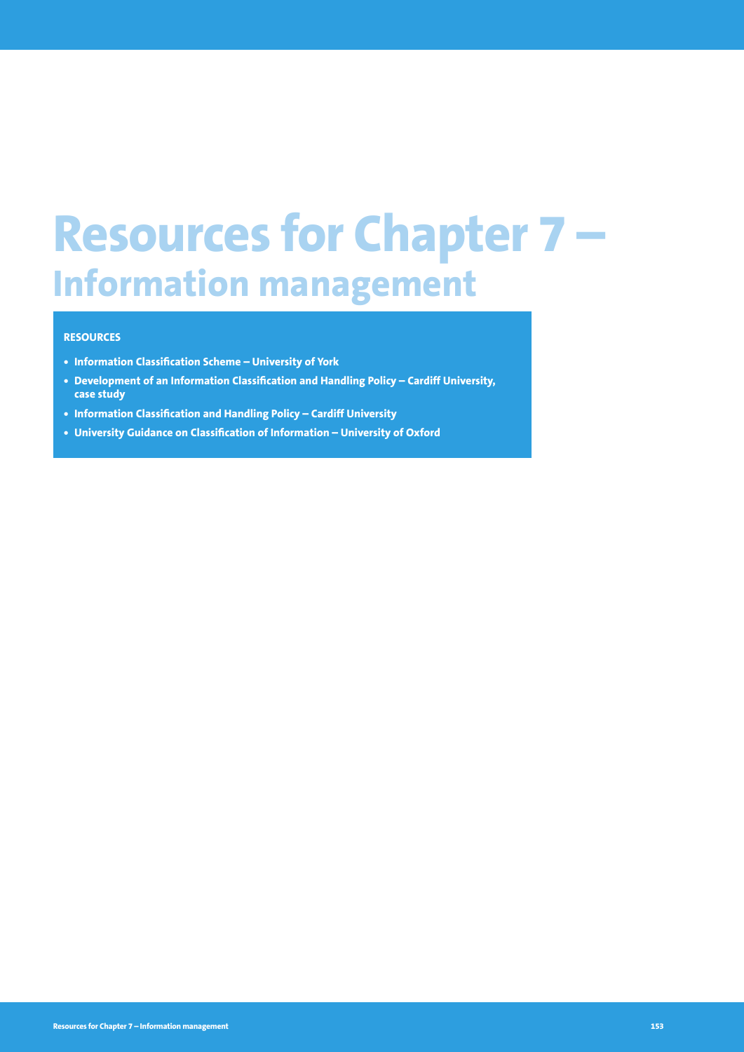# **Resources for Chapter 7 – Information management**

#### **RESOURCES**

- **• Information Classification Scheme University of York**
- **• Development of an Information Classification and Handling Policy Cardiff University, case study**
- **• Information Classification and Handling Policy Cardiff University**
- **• University Guidance on Classification of Information University of Oxford**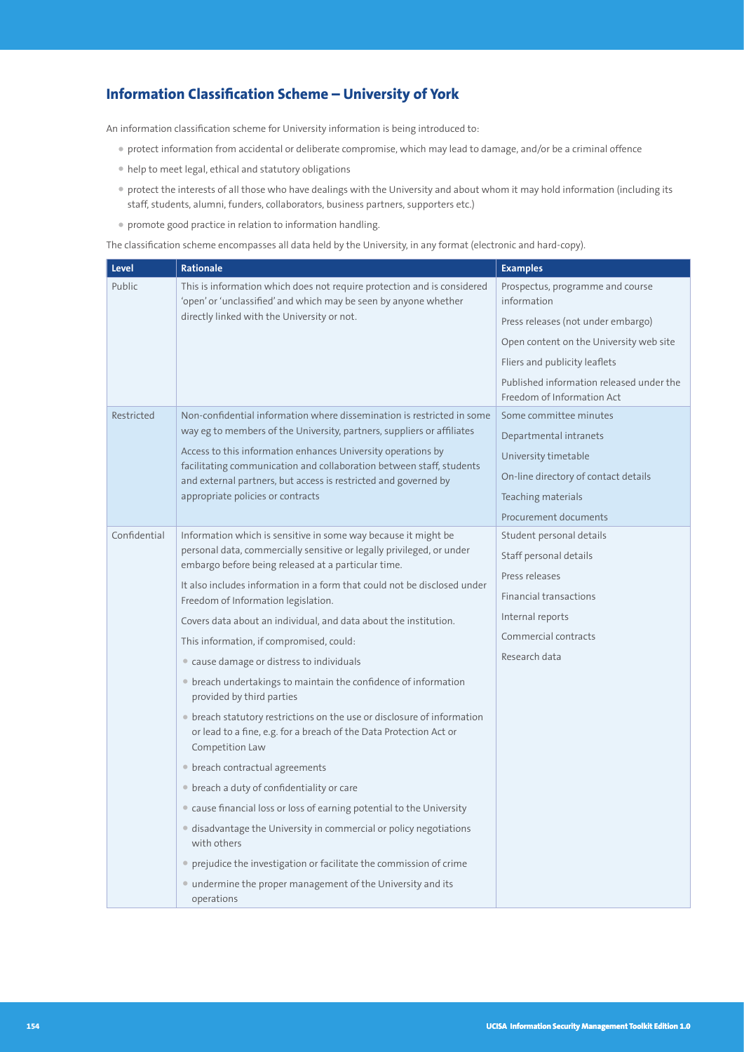## **Information Classification Scheme – University of York**

An information classification scheme for University information is being introduced to:

- protect information from accidental or deliberate compromise, which may lead to damage, and/or be a criminal offence
- help to meet legal, ethical and statutory obligations
- protect the interests of all those who have dealings with the University and about whom it may hold information (including its staff, students, alumni, funders, collaborators, business partners, supporters etc.)
- promote good practice in relation to information handling.

The classification scheme encompasses all data held by the University, in any format (electronic and hard-copy).

| <b>Level</b>                      | <b>Rationale</b>                                                                                                                                                                                        | <b>Examples</b>                                                        |
|-----------------------------------|---------------------------------------------------------------------------------------------------------------------------------------------------------------------------------------------------------|------------------------------------------------------------------------|
| Public                            | This is information which does not require protection and is considered<br>'open' or 'unclassified' and which may be seen by anyone whether                                                             | Prospectus, programme and course<br>information                        |
|                                   | directly linked with the University or not.                                                                                                                                                             | Press releases (not under embargo)                                     |
|                                   |                                                                                                                                                                                                         | Open content on the University web site                                |
|                                   |                                                                                                                                                                                                         | Fliers and publicity leaflets                                          |
|                                   |                                                                                                                                                                                                         | Published information released under the<br>Freedom of Information Act |
| Restricted                        | Non-confidential information where dissemination is restricted in some                                                                                                                                  | Some committee minutes                                                 |
|                                   | way eg to members of the University, partners, suppliers or affiliates                                                                                                                                  | Departmental intranets                                                 |
|                                   | Access to this information enhances University operations by<br>facilitating communication and collaboration between staff, students<br>and external partners, but access is restricted and governed by | University timetable                                                   |
|                                   |                                                                                                                                                                                                         | On-line directory of contact details                                   |
| appropriate policies or contracts |                                                                                                                                                                                                         | Teaching materials                                                     |
|                                   |                                                                                                                                                                                                         | Procurement documents                                                  |
| Confidential                      | Information which is sensitive in some way because it might be<br>personal data, commercially sensitive or legally privileged, or under<br>embargo before being released at a particular time.          | Student personal details                                               |
|                                   |                                                                                                                                                                                                         | Staff personal details                                                 |
|                                   | It also includes information in a form that could not be disclosed under                                                                                                                                | Press releases                                                         |
|                                   | Freedom of Information legislation.                                                                                                                                                                     | <b>Financial transactions</b>                                          |
|                                   | Covers data about an individual, and data about the institution.                                                                                                                                        | Internal reports                                                       |
|                                   | This information, if compromised, could:                                                                                                                                                                | Commercial contracts                                                   |
|                                   | • cause damage or distress to individuals                                                                                                                                                               | Research data                                                          |
|                                   | • breach undertakings to maintain the confidence of information<br>provided by third parties                                                                                                            |                                                                        |
|                                   | • breach statutory restrictions on the use or disclosure of information<br>or lead to a fine, e.g. for a breach of the Data Protection Act or<br>Competition Law                                        |                                                                        |
|                                   | • breach contractual agreements                                                                                                                                                                         |                                                                        |
|                                   | • breach a duty of confidentiality or care                                                                                                                                                              |                                                                        |
|                                   | • cause financial loss or loss of earning potential to the University                                                                                                                                   |                                                                        |
|                                   | • disadvantage the University in commercial or policy negotiations<br>with others                                                                                                                       |                                                                        |
|                                   | • prejudice the investigation or facilitate the commission of crime                                                                                                                                     |                                                                        |
|                                   | • undermine the proper management of the University and its<br>operations                                                                                                                               |                                                                        |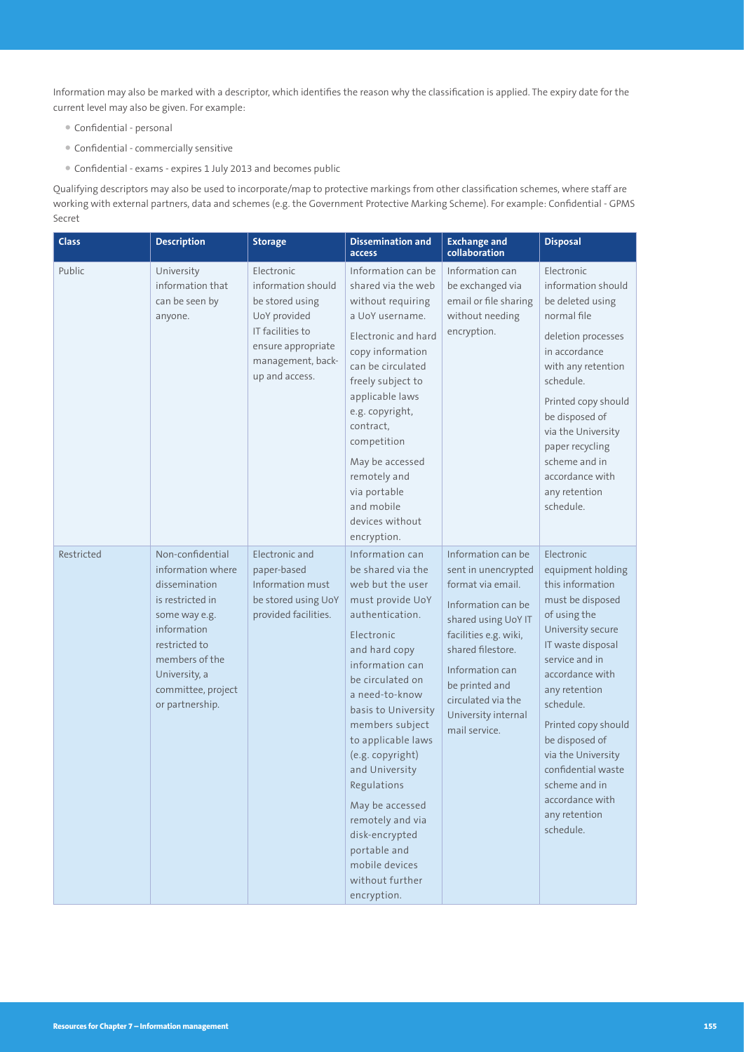Information may also be marked with a descriptor, which identifies the reason why the classification is applied. The expiry date for the current level may also be given. For example:

- Confidential personal
- Confidential commercially sensitive
- Confidential exams expires 1 July 2013 and becomes public

Qualifying descriptors may also be used to incorporate/map to protective markings from other classification schemes, where staff are working with external partners, data and schemes (e.g. the Government Protective Marking Scheme). For example: Confidential - GPMS Secret

| <b>Class</b> | <b>Description</b>                                                                                                                                                                                      | <b>Storage</b>                                                                                                                                       | <b>Dissemination and</b><br>access                                                                                                                                                                                                                                                                                                                                                                                                        | <b>Exchange and</b><br>collaboration                                                                                                                                                                                                                         | <b>Disposal</b>                                                                                                                                                                                                                                                                                                                                             |
|--------------|---------------------------------------------------------------------------------------------------------------------------------------------------------------------------------------------------------|------------------------------------------------------------------------------------------------------------------------------------------------------|-------------------------------------------------------------------------------------------------------------------------------------------------------------------------------------------------------------------------------------------------------------------------------------------------------------------------------------------------------------------------------------------------------------------------------------------|--------------------------------------------------------------------------------------------------------------------------------------------------------------------------------------------------------------------------------------------------------------|-------------------------------------------------------------------------------------------------------------------------------------------------------------------------------------------------------------------------------------------------------------------------------------------------------------------------------------------------------------|
| Public       | University<br>information that<br>can be seen by<br>anyone.                                                                                                                                             | Electronic<br>information should<br>be stored using<br>UoY provided<br>IT facilities to<br>ensure appropriate<br>management, back-<br>up and access. | Information can be<br>shared via the web<br>without requiring<br>a UoY username.<br>Electronic and hard<br>copy information<br>can be circulated<br>freely subject to<br>applicable laws<br>e.g. copyright,<br>contract,<br>competition<br>May be accessed<br>remotely and<br>via portable<br>and mobile<br>devices without<br>encryption.                                                                                                | Information can<br>be exchanged via<br>email or file sharing<br>without needing<br>encryption.                                                                                                                                                               | Electronic<br>information should<br>be deleted using<br>normal file<br>deletion processes<br>in accordance<br>with any retention<br>schedule.<br>Printed copy should<br>be disposed of<br>via the University<br>paper recycling<br>scheme and in<br>accordance with<br>any retention<br>schedule.                                                           |
| Restricted   | Non-confidential<br>information where<br>dissemination<br>is restricted in<br>some way e.g.<br>information<br>restricted to<br>members of the<br>University, a<br>committee, project<br>or partnership. | Electronic and<br>paper-based<br>Information must<br>be stored using UoY<br>provided facilities.                                                     | Information can<br>be shared via the<br>web but the user<br>must provide UoY<br>authentication.<br>Electronic<br>and hard copy<br>information can<br>be circulated on<br>a need-to-know<br>basis to University<br>members subject<br>to applicable laws<br>(e.g. copyright)<br>and University<br>Regulations<br>May be accessed<br>remotely and via<br>disk-encrypted<br>portable and<br>mobile devices<br>without further<br>encryption. | Information can be<br>sent in unencrypted<br>format via email.<br>Information can be<br>shared using UoY IT<br>facilities e.g. wiki,<br>shared filestore.<br>Information can<br>be printed and<br>circulated via the<br>University internal<br>mail service. | Electronic<br>equipment holding<br>this information<br>must be disposed<br>of using the<br>University secure<br>IT waste disposal<br>service and in<br>accordance with<br>any retention<br>schedule.<br>Printed copy should<br>be disposed of<br>via the University<br>confidential waste<br>scheme and in<br>accordance with<br>any retention<br>schedule. |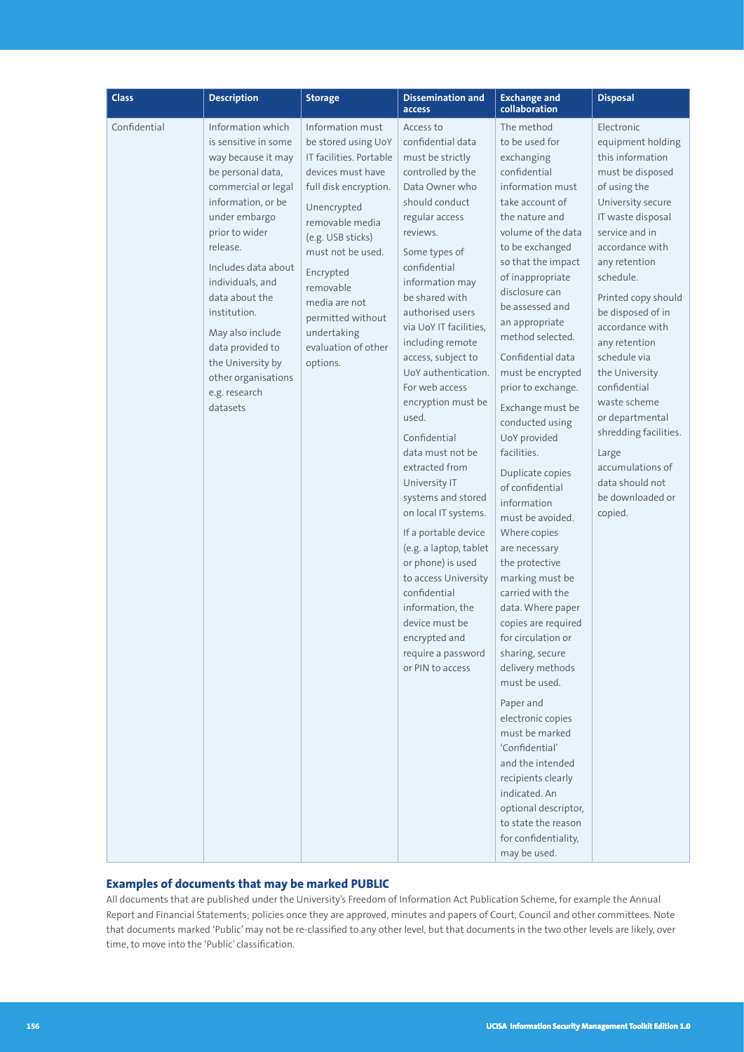| <b>Class</b> | <b>Description</b>                                                                                                                                                                                                                                                                                                                                                             | <b>Storage</b>                                                                                                                                                                                                                                                                                                 | <b>Dissemination and</b><br>access                                                                                                                                                                                                                                                                                                                                                                                                                                                                                                                                                                                                                                                                                   | <b>Exchange and</b><br>collaboration                                                                                                                                                                                                                                                                                                                                                                                                                                                                                                                                                                                                                                                                                                                                                                                                                                                                                                          | <b>Disposal</b>                                                                                                                                                                                                                                                                                                                                                                                                                                                                   |
|--------------|--------------------------------------------------------------------------------------------------------------------------------------------------------------------------------------------------------------------------------------------------------------------------------------------------------------------------------------------------------------------------------|----------------------------------------------------------------------------------------------------------------------------------------------------------------------------------------------------------------------------------------------------------------------------------------------------------------|----------------------------------------------------------------------------------------------------------------------------------------------------------------------------------------------------------------------------------------------------------------------------------------------------------------------------------------------------------------------------------------------------------------------------------------------------------------------------------------------------------------------------------------------------------------------------------------------------------------------------------------------------------------------------------------------------------------------|-----------------------------------------------------------------------------------------------------------------------------------------------------------------------------------------------------------------------------------------------------------------------------------------------------------------------------------------------------------------------------------------------------------------------------------------------------------------------------------------------------------------------------------------------------------------------------------------------------------------------------------------------------------------------------------------------------------------------------------------------------------------------------------------------------------------------------------------------------------------------------------------------------------------------------------------------|-----------------------------------------------------------------------------------------------------------------------------------------------------------------------------------------------------------------------------------------------------------------------------------------------------------------------------------------------------------------------------------------------------------------------------------------------------------------------------------|
| Confidential | Information which<br>is sensitive in some<br>way because it may<br>be personal data,<br>commercial or legal<br>information, or be<br>under embargo<br>prior to wider<br>release.<br>Includes data about<br>individuals, and<br>data about the<br>institution.<br>May also include<br>data provided to<br>the University by<br>other organisations<br>e.g. research<br>datasets | Information must<br>be stored using UoY<br>IT facilities. Portable<br>devices must have<br>full disk encryption.<br>Unencrypted<br>removable media<br>(e.g. USB sticks)<br>must not be used.<br>Encrypted<br>removable<br>media are not<br>permitted without<br>undertaking<br>evaluation of other<br>options. | Access to<br>confidential data<br>must be strictly<br>controlled by the<br>Data Owner who<br>should conduct<br>regular access<br>reviews.<br>Some types of<br>confidential<br>information may<br>be shared with<br>authorised users<br>via UoY IT facilities.<br>including remote<br>access, subject to<br>UoY authentication.<br>For web access<br>encryption must be<br>used.<br>Confidential<br>data must not be<br>extracted from<br>University IT<br>systems and stored<br>on local IT systems.<br>If a portable device<br>(e.g. a laptop, tablet<br>or phone) is used<br>to access University<br>confidential<br>information, the<br>device must be<br>encrypted and<br>require a password<br>or PIN to access | The method<br>to be used for<br>exchanging<br>confidential<br>information must<br>take account of<br>the nature and<br>volume of the data<br>to be exchanged<br>so that the impact<br>of inappropriate<br>disclosure can<br>be assessed and<br>an appropriate<br>method selected.<br>Confidential data<br>must be encrypted<br>prior to exchange.<br>Exchange must be<br>conducted using<br>UoY provided<br>facilities.<br>Duplicate copies<br>of confidential<br>information<br>must be avoided.<br>Where copies<br>are necessary<br>the protective<br>marking must be<br>carried with the<br>data. Where paper<br>copies are required<br>for circulation or<br>sharing, secure<br>delivery methods<br>must be used.<br>Paper and<br>electronic copies<br>must be marked<br>'Confidential'<br>and the intended<br>recipients clearly<br>indicated. An<br>optional descriptor,<br>to state the reason<br>for confidentiality,<br>may be used. | Electronic<br>equipment holding<br>this information<br>must be disposed<br>of using the<br>University secure<br>IT waste disposal<br>service and in<br>accordance with<br>any retention<br>schedule.<br>Printed copy should<br>be disposed of in<br>accordance with<br>any retention<br>schedule via<br>the University<br>confidential<br>waste scheme<br>or departmental<br>shredding facilities.<br>Large<br>accumulations of<br>data should not<br>be downloaded or<br>copied. |

#### **Examples of documents that may be marked PUBLIC**

All documents that are published under the University's Freedom of Information Act Publication Scheme, for example the Annual Report and Financial Statements; policies once they are approved, minutes and papers of Court, Council and other committees. Note that documents marked 'Public' may not be re-classified to any other level, but that documents in the two other levels are likely, over time, to move into the 'Public' classification.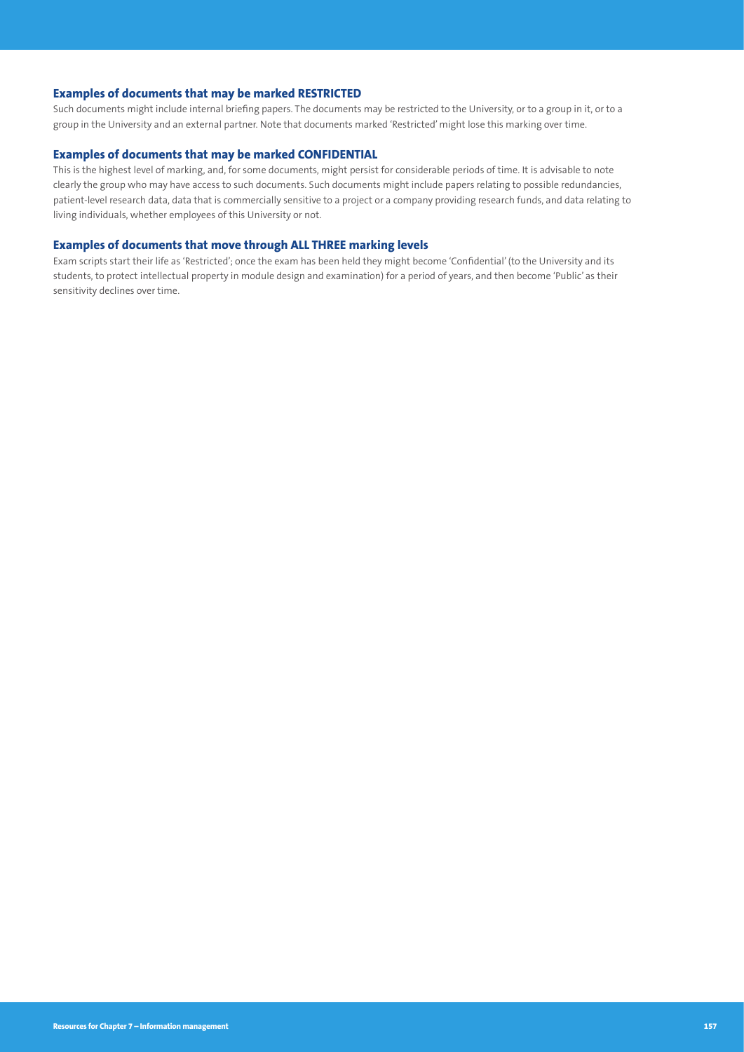#### **Examples of documents that may be marked RESTRICTED**

Such documents might include internal briefing papers. The documents may be restricted to the University, or to a group in it, or to a group in the University and an external partner. Note that documents marked 'Restricted' might lose this marking over time.

#### **Examples of documents that may be marked CONFIDENTIAL**

This is the highest level of marking, and, for some documents, might persist for considerable periods of time. It is advisable to note clearly the group who may have access to such documents. Such documents might include papers relating to possible redundancies, patient-level research data, data that is commercially sensitive to a project or a company providing research funds, and data relating to living individuals, whether employees of this University or not.

#### **Examples of documents that move through ALL THREE marking levels**

Exam scripts start their life as 'Restricted'; once the exam has been held they might become 'Confidential' (to the University and its students, to protect intellectual property in module design and examination) for a period of years, and then become 'Public' as their sensitivity declines over time.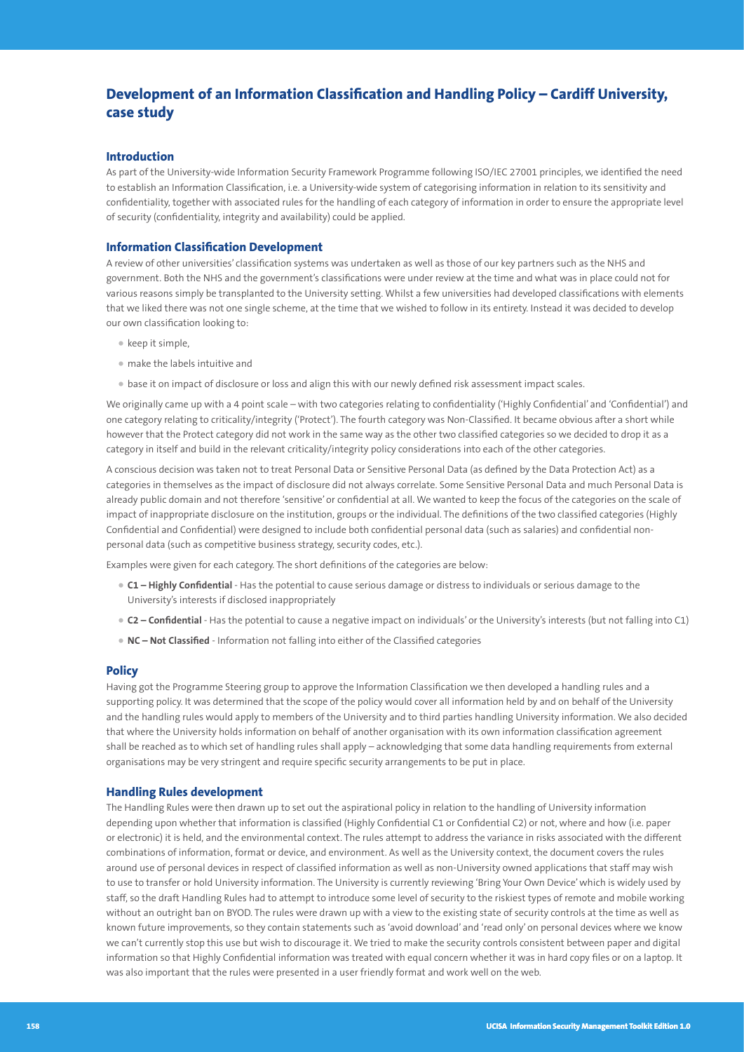## **Development of an Information Classification and Handling Policy – Cardiff University, case study**

#### **Introduction**

As part of the University-wide Information Security Framework Programme following ISO/IEC 27001 principles, we identified the need to establish an Information Classification, i.e. a University-wide system of categorising information in relation to its sensitivity and confidentiality, together with associated rules for the handling of each category of information in order to ensure the appropriate level of security (confidentiality, integrity and availability) could be applied.

#### **Information Classification Development**

A review of other universities' classification systems was undertaken as well as those of our key partners such as the NHS and government. Both the NHS and the government's classifications were under review at the time and what was in place could not for various reasons simply be transplanted to the University setting. Whilst a few universities had developed classifications with elements that we liked there was not one single scheme, at the time that we wished to follow in its entirety. Instead it was decided to develop our own classification looking to:

- keep it simple,
- make the labels intuitive and
- base it on impact of disclosure or loss and align this with our newly defined risk assessment impact scales.

We originally came up with a 4 point scale – with two categories relating to confidentiality ('Highly Confidential' and 'Confidential') and one category relating to criticality/integrity ('Protect'). The fourth category was Non-Classified. It became obvious after a short while however that the Protect category did not work in the same way as the other two classified categories so we decided to drop it as a category in itself and build in the relevant criticality/integrity policy considerations into each of the other categories.

A conscious decision was taken not to treat Personal Data or Sensitive Personal Data (as defined by the Data Protection Act) as a categories in themselves as the impact of disclosure did not always correlate. Some Sensitive Personal Data and much Personal Data is already public domain and not therefore 'sensitive' or confidential at all. We wanted to keep the focus of the categories on the scale of impact of inappropriate disclosure on the institution, groups or the individual. The definitions of the two classified categories (Highly Confidential and Confidential) were designed to include both confidential personal data (such as salaries) and confidential nonpersonal data (such as competitive business strategy, security codes, etc.).

Examples were given for each category. The short definitions of the categories are below:

- **C1 Highly Confidential**  Has the potential to cause serious damage or distress to individuals or serious damage to the University's interests if disclosed inappropriately
- **C2 Confidential** Has the potential to cause a negative impact on individuals' or the University's interests (but not falling into C1)
- **NC Not Classified** Information not falling into either of the Classified categories

#### **Policy**

Having got the Programme Steering group to approve the Information Classification we then developed a handling rules and a supporting policy. It was determined that the scope of the policy would cover all information held by and on behalf of the University and the handling rules would apply to members of the University and to third parties handling University information. We also decided that where the University holds information on behalf of another organisation with its own information classification agreement shall be reached as to which set of handling rules shall apply – acknowledging that some data handling requirements from external organisations may be very stringent and require specific security arrangements to be put in place.

#### **Handling Rules development**

The Handling Rules were then drawn up to set out the aspirational policy in relation to the handling of University information depending upon whether that information is classified (Highly Confidential C1 or Confidential C2) or not, where and how (i.e. paper or electronic) it is held, and the environmental context. The rules attempt to address the variance in risks associated with the different combinations of information, format or device, and environment. As well as the University context, the document covers the rules around use of personal devices in respect of classified information as well as non-University owned applications that staff may wish to use to transfer or hold University information. The University is currently reviewing 'Bring Your Own Device' which is widely used by staff, so the draft Handling Rules had to attempt to introduce some level of security to the riskiest types of remote and mobile working without an outright ban on BYOD. The rules were drawn up with a view to the existing state of security controls at the time as well as known future improvements, so they contain statements such as 'avoid download' and 'read only' on personal devices where we know we can't currently stop this use but wish to discourage it. We tried to make the security controls consistent between paper and digital information so that Highly Confidential information was treated with equal concern whether it was in hard copy files or on a laptop. It was also important that the rules were presented in a user friendly format and work well on the web.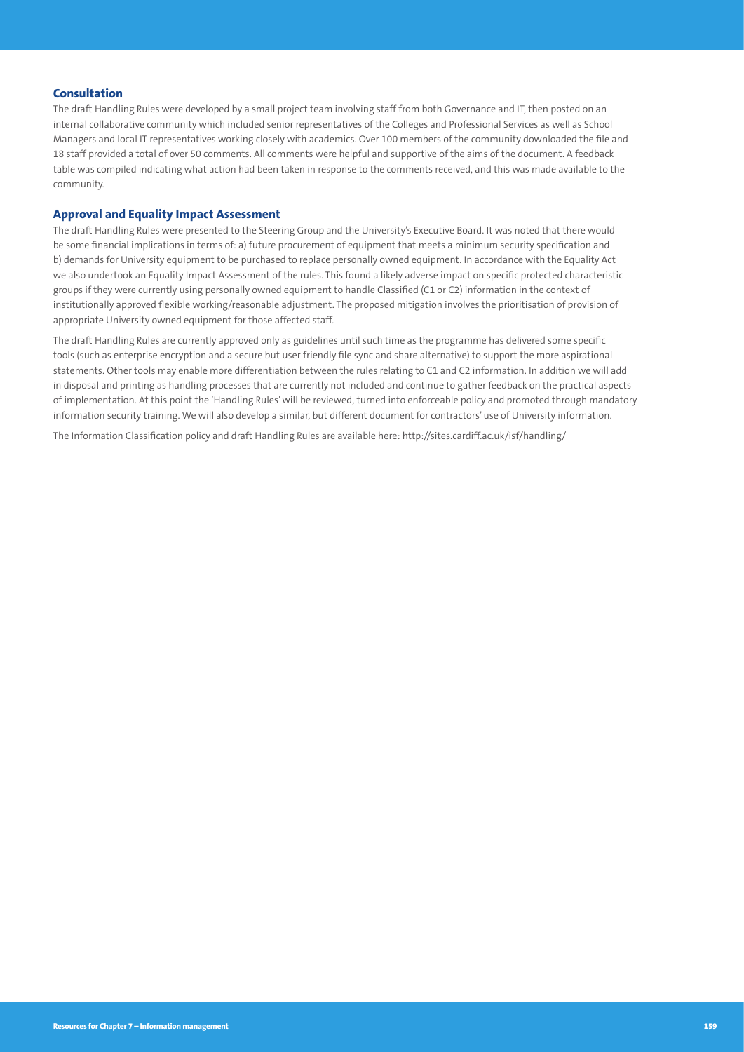#### **Consultation**

The draft Handling Rules were developed by a small project team involving staff from both Governance and IT, then posted on an internal collaborative community which included senior representatives of the Colleges and Professional Services as well as School Managers and local IT representatives working closely with academics. Over 100 members of the community downloaded the file and 18 staff provided a total of over 50 comments. All comments were helpful and supportive of the aims of the document. A feedback table was compiled indicating what action had been taken in response to the comments received, and this was made available to the community.

#### **Approval and Equality Impact Assessment**

The draft Handling Rules were presented to the Steering Group and the University's Executive Board. It was noted that there would be some financial implications in terms of: a) future procurement of equipment that meets a minimum security specification and b) demands for University equipment to be purchased to replace personally owned equipment. In accordance with the Equality Act we also undertook an Equality Impact Assessment of the rules. This found a likely adverse impact on specific protected characteristic groups if they were currently using personally owned equipment to handle Classified (C1 or C2) information in the context of institutionally approved flexible working/reasonable adjustment. The proposed mitigation involves the prioritisation of provision of appropriate University owned equipment for those affected staff.

The draft Handling Rules are currently approved only as guidelines until such time as the programme has delivered some specific tools (such as enterprise encryption and a secure but user friendly file sync and share alternative) to support the more aspirational statements. Other tools may enable more differentiation between the rules relating to C1 and C2 information. In addition we will add in disposal and printing as handling processes that are currently not included and continue to gather feedback on the practical aspects of implementation. At this point the 'Handling Rules' will be reviewed, turned into enforceable policy and promoted through mandatory information security training. We will also develop a similar, but different document for contractors' use of University information.

The Information Classification policy and draft Handling Rules are available here: <http://sites.cardiff.ac.uk/isf/handling/>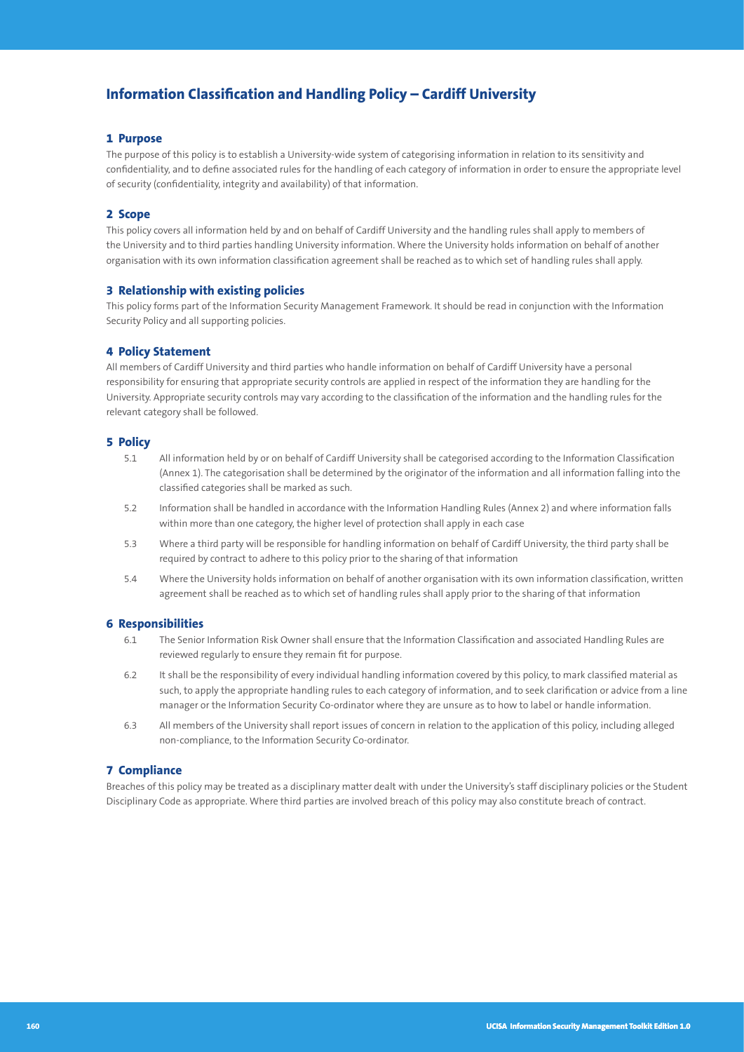## **Information Classification and Handling Policy – Cardiff University**

#### **1 Purpose**

The purpose of this policy is to establish a University-wide system of categorising information in relation to its sensitivity and confidentiality, and to define associated rules for the handling of each category of information in order to ensure the appropriate level of security (confidentiality, integrity and availability) of that information.

#### **2 Scope**

This policy covers all information held by and on behalf of Cardiff University and the handling rules shall apply to members of the University and to third parties handling University information. Where the University holds information on behalf of another organisation with its own information classification agreement shall be reached as to which set of handling rules shall apply.

#### **3 Relationship with existing policies**

This policy forms part of the Information Security Management Framework. It should be read in conjunction with the Information Security Policy and all supporting policies.

#### **4 Policy Statement**

All members of Cardiff University and third parties who handle information on behalf of Cardiff University have a personal responsibility for ensuring that appropriate security controls are applied in respect of the information they are handling for the University. Appropriate security controls may vary according to the classification of the information and the handling rules for the relevant category shall be followed.

#### **5 Policy**

- 5.1 All information held by or on behalf of Cardiff University shall be categorised according to the Information Classification (Annex 1). The categorisation shall be determined by the originator of the information and all information falling into the classified categories shall be marked as such.
- 5.2 Information shall be handled in accordance with the Information Handling Rules (Annex 2) and where information falls within more than one category, the higher level of protection shall apply in each case
- 5.3 Where a third party will be responsible for handling information on behalf of Cardiff University, the third party shall be required by contract to adhere to this policy prior to the sharing of that information
- 5.4 Where the University holds information on behalf of another organisation with its own information classification, written agreement shall be reached as to which set of handling rules shall apply prior to the sharing of that information

#### **6 Responsibilities**

- 6.1 The Senior Information Risk Owner shall ensure that the Information Classification and associated Handling Rules are reviewed regularly to ensure they remain fit for purpose.
- 6.2 It shall be the responsibility of every individual handling information covered by this policy, to mark classified material as such, to apply the appropriate handling rules to each category of information, and to seek clarification or advice from a line manager or the Information Security Co-ordinator where they are unsure as to how to label or handle information.
- 6.3 All members of the University shall report issues of concern in relation to the application of this policy, including alleged non-compliance, to the Information Security Co-ordinator.

#### **7 Compliance**

Breaches of this policy may be treated as a disciplinary matter dealt with under the University's staff disciplinary policies or the Student Disciplinary Code as appropriate. Where third parties are involved breach of this policy may also constitute breach of contract.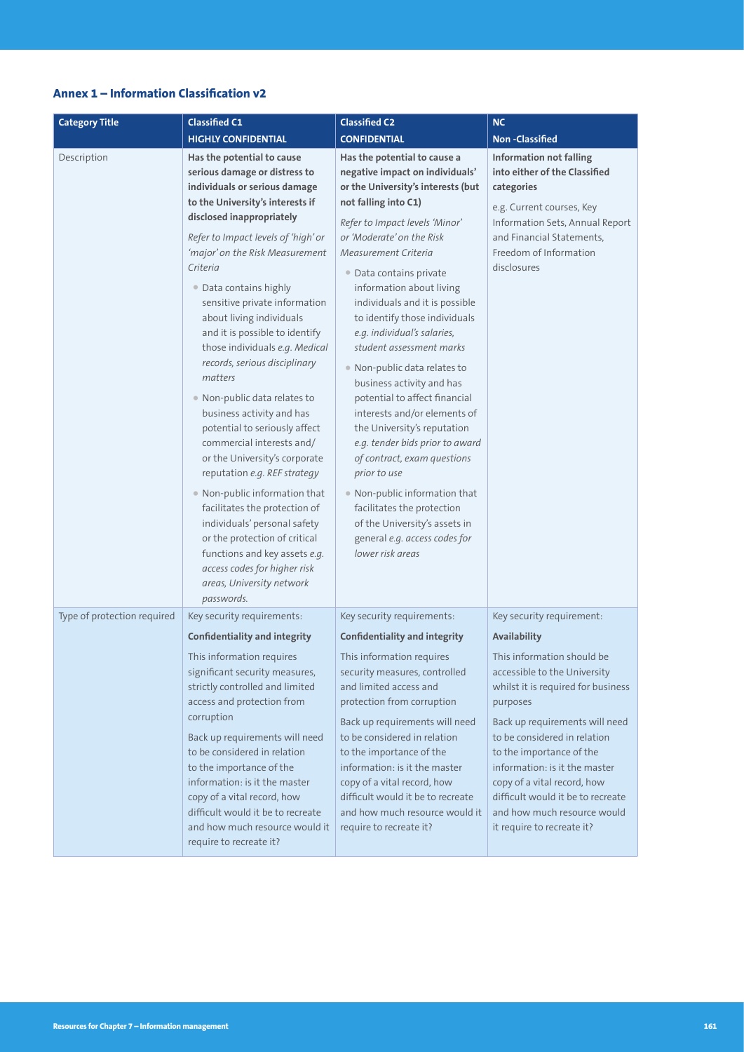## **Annex 1 – Information Classification v2**

| <b>Category Title</b>       | <b>Classified C1</b>                                                                                                                                                                                                                                                                                                                                                                                                                                                                                                                                                                                                                                                                                                                                                                                                                                                                                  | <b>Classified C2</b>                                                                                                                                                                                                                                                                                                                                                                                                                                                                                                                                                                                                                                                                                                                                                                                          | <b>NC</b>                                                                                                                                                                                                           |
|-----------------------------|-------------------------------------------------------------------------------------------------------------------------------------------------------------------------------------------------------------------------------------------------------------------------------------------------------------------------------------------------------------------------------------------------------------------------------------------------------------------------------------------------------------------------------------------------------------------------------------------------------------------------------------------------------------------------------------------------------------------------------------------------------------------------------------------------------------------------------------------------------------------------------------------------------|---------------------------------------------------------------------------------------------------------------------------------------------------------------------------------------------------------------------------------------------------------------------------------------------------------------------------------------------------------------------------------------------------------------------------------------------------------------------------------------------------------------------------------------------------------------------------------------------------------------------------------------------------------------------------------------------------------------------------------------------------------------------------------------------------------------|---------------------------------------------------------------------------------------------------------------------------------------------------------------------------------------------------------------------|
|                             | <b>HIGHLY CONFIDENTIAL</b>                                                                                                                                                                                                                                                                                                                                                                                                                                                                                                                                                                                                                                                                                                                                                                                                                                                                            | <b>CONFIDENTIAL</b>                                                                                                                                                                                                                                                                                                                                                                                                                                                                                                                                                                                                                                                                                                                                                                                           | <b>Non-Classified</b>                                                                                                                                                                                               |
| Description                 | Has the potential to cause<br>serious damage or distress to<br>individuals or serious damage<br>to the University's interests if<br>disclosed inappropriately<br>Refer to Impact levels of 'high' or<br>'major' on the Risk Measurement<br>Criteria<br>• Data contains highly<br>sensitive private information<br>about living individuals<br>and it is possible to identify<br>those individuals e.g. Medical<br>records, serious disciplinary<br>matters<br>• Non-public data relates to<br>business activity and has<br>potential to seriously affect<br>commercial interests and/<br>or the University's corporate<br>reputation e.g. REF strategy<br>. Non-public information that<br>facilitates the protection of<br>individuals' personal safety<br>or the protection of critical<br>functions and key assets e.g.<br>access codes for higher risk<br>areas, University network<br>passwords. | Has the potential to cause a<br>negative impact on individuals'<br>or the University's interests (but<br>not falling into C1)<br>Refer to Impact levels 'Minor'<br>or 'Moderate' on the Risk<br>Measurement Criteria<br>• Data contains private<br>information about living<br>individuals and it is possible<br>to identify those individuals<br>e.g. individual's salaries,<br>student assessment marks<br>• Non-public data relates to<br>business activity and has<br>potential to affect financial<br>interests and/or elements of<br>the University's reputation<br>e.g. tender bids prior to award<br>of contract, exam questions<br>prior to use<br>• Non-public information that<br>facilitates the protection<br>of the University's assets in<br>general e.g. access codes for<br>lower risk areas | <b>Information not falling</b><br>into either of the Classified<br>categories<br>e.g. Current courses, Key<br>Information Sets, Annual Report<br>and Financial Statements,<br>Freedom of Information<br>disclosures |
| Type of protection required | Key security requirements:                                                                                                                                                                                                                                                                                                                                                                                                                                                                                                                                                                                                                                                                                                                                                                                                                                                                            | Key security requirements:                                                                                                                                                                                                                                                                                                                                                                                                                                                                                                                                                                                                                                                                                                                                                                                    | Key security requirement:                                                                                                                                                                                           |
|                             | <b>Confidentiality and integrity</b>                                                                                                                                                                                                                                                                                                                                                                                                                                                                                                                                                                                                                                                                                                                                                                                                                                                                  | <b>Confidentiality and integrity</b>                                                                                                                                                                                                                                                                                                                                                                                                                                                                                                                                                                                                                                                                                                                                                                          | Availability                                                                                                                                                                                                        |
|                             | This information requires<br>significant security measures,<br>strictly controlled and limited<br>access and protection from<br>corruption<br>Back up requirements will need<br>to be considered in relation                                                                                                                                                                                                                                                                                                                                                                                                                                                                                                                                                                                                                                                                                          | This information requires<br>security measures, controlled<br>and limited access and<br>protection from corruption<br>Back up requirements will need<br>to be considered in relation<br>to the importance of the                                                                                                                                                                                                                                                                                                                                                                                                                                                                                                                                                                                              | This information should be<br>accessible to the University<br>whilst it is required for business<br>purposes<br>Back up requirements will need<br>to be considered in relation<br>to the importance of the          |
|                             | to the importance of the<br>information: is it the master<br>copy of a vital record, how<br>difficult would it be to recreate<br>and how much resource would it<br>require to recreate it?                                                                                                                                                                                                                                                                                                                                                                                                                                                                                                                                                                                                                                                                                                            | information: is it the master<br>copy of a vital record, how<br>difficult would it be to recreate<br>and how much resource would it<br>require to recreate it?                                                                                                                                                                                                                                                                                                                                                                                                                                                                                                                                                                                                                                                | information: is it the master<br>copy of a vital record, how<br>difficult would it be to recreate<br>and how much resource would<br>it require to recreate it?                                                      |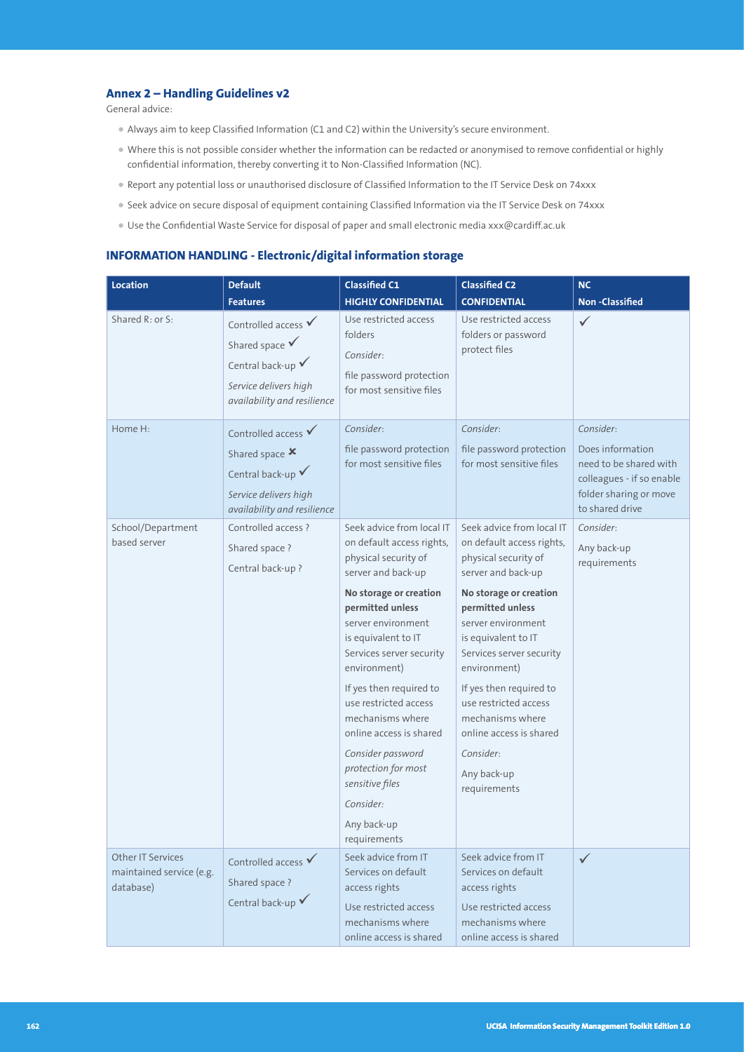#### **Annex 2 – Handling Guidelines v2**

General advice:

- Always aim to keep Classified Information (C1 and C2) within the University's secure environment.
- Where this is not possible consider whether the information can be redacted or anonymised to remove confidential or highly confidential information, thereby converting it to Non-Classified Information (NC).
- Report any potential loss or unauthorised disclosure of Classified Information to the IT Service Desk on 74xxx
- Seek advice on secure disposal of equipment containing Classified Information via the IT Service Desk on 74xxx
- Use the Confidential Waste Service for disposal of paper and small electronic media xxx@cardiff.ac.uk

#### **INFORMATION HANDLING - Electronic/digital information storage**

| Location                                                          | <b>Default</b>                                                                                                                           | <b>Classified C1</b>                                                                                                                                                                                                                                                                                                                                                                                                                      | Classified C2                                                                                                                                                                                                                                                                                                                                                                              | <b>NC</b>                                                                                                                         |
|-------------------------------------------------------------------|------------------------------------------------------------------------------------------------------------------------------------------|-------------------------------------------------------------------------------------------------------------------------------------------------------------------------------------------------------------------------------------------------------------------------------------------------------------------------------------------------------------------------------------------------------------------------------------------|--------------------------------------------------------------------------------------------------------------------------------------------------------------------------------------------------------------------------------------------------------------------------------------------------------------------------------------------------------------------------------------------|-----------------------------------------------------------------------------------------------------------------------------------|
|                                                                   | <b>Features</b>                                                                                                                          | <b>HIGHLY CONFIDENTIAL</b>                                                                                                                                                                                                                                                                                                                                                                                                                | <b>CONFIDENTIAL</b>                                                                                                                                                                                                                                                                                                                                                                        | <b>Non-Classified</b>                                                                                                             |
| Shared R: or S:                                                   | Controlled access $\checkmark$<br>Shared space $\checkmark$<br>Central back-up V<br>Service delivers high<br>availability and resilience | Use restricted access<br>folders<br>Consider:<br>file password protection<br>for most sensitive files                                                                                                                                                                                                                                                                                                                                     | Use restricted access<br>folders or password<br>protect files                                                                                                                                                                                                                                                                                                                              | $\checkmark$                                                                                                                      |
| Home H:                                                           | Controlled access<br>Shared space X<br>Central back-up $\checkmark$<br>Service delivers high<br>availability and resilience              | Consider:<br>file password protection<br>for most sensitive files                                                                                                                                                                                                                                                                                                                                                                         | Consider:<br>file password protection<br>for most sensitive files                                                                                                                                                                                                                                                                                                                          | Consider:<br>Does information<br>need to be shared with<br>colleagues - if so enable<br>folder sharing or move<br>to shared drive |
| School/Department<br>based server                                 | Controlled access ?<br>Shared space ?<br>Central back-up?                                                                                | Seek advice from local IT<br>on default access rights,<br>physical security of<br>server and back-up<br>No storage or creation<br>permitted unless<br>server environment<br>is equivalent to IT<br>Services server security<br>environment)<br>If yes then required to<br>use restricted access<br>mechanisms where<br>online access is shared<br>Consider password<br>protection for most<br>sensitive files<br>Consider:<br>Any back-up | Seek advice from local IT<br>on default access rights,<br>physical security of<br>server and back-up<br>No storage or creation<br>permitted unless<br>server environment<br>is equivalent to IT<br>Services server security<br>environment)<br>If yes then required to<br>use restricted access<br>mechanisms where<br>online access is shared<br>Consider:<br>Any back-up<br>requirements | Consider:<br>Any back-up<br>requirements                                                                                          |
| <b>Other IT Services</b><br>maintained service (e.g.<br>database) | Controlled access $\checkmark$<br>Shared space ?<br>Central back-up $\checkmark$                                                         | requirements<br>Seek advice from IT<br>Services on default<br>access rights<br>Use restricted access<br>mechanisms where<br>online access is shared                                                                                                                                                                                                                                                                                       | Seek advice from IT<br>Services on default<br>access rights<br>Use restricted access<br>mechanisms where<br>online access is shared                                                                                                                                                                                                                                                        | $\checkmark$                                                                                                                      |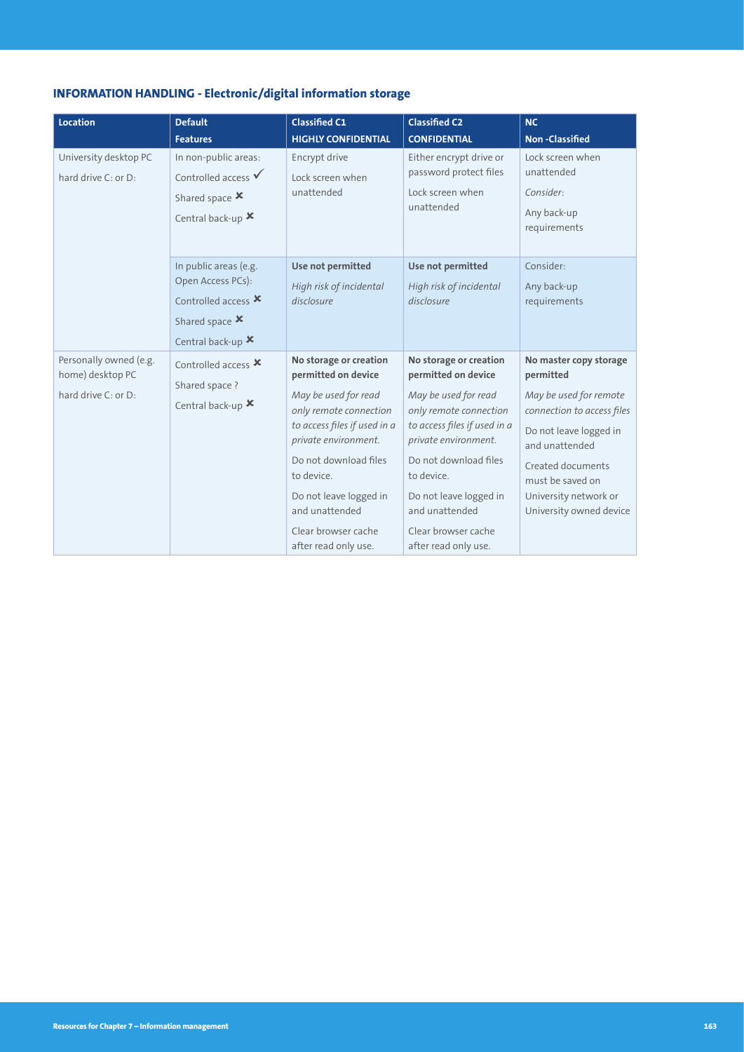## **INFORMATION HANDLING - Electronic/digital information storage**

| <b>Location</b>                                                   | <b>Default</b>                                                                                                                   | <b>Classified C1</b>                                                                                                                                                                                                                                                                      | <b>Classified C2</b>                                                                                                                                                                                                                                                                      | <b>NC</b>                                                                                                                                                                                                                            |
|-------------------------------------------------------------------|----------------------------------------------------------------------------------------------------------------------------------|-------------------------------------------------------------------------------------------------------------------------------------------------------------------------------------------------------------------------------------------------------------------------------------------|-------------------------------------------------------------------------------------------------------------------------------------------------------------------------------------------------------------------------------------------------------------------------------------------|--------------------------------------------------------------------------------------------------------------------------------------------------------------------------------------------------------------------------------------|
|                                                                   | <b>Features</b>                                                                                                                  | <b>HIGHLY CONFIDENTIAL</b>                                                                                                                                                                                                                                                                | <b>CONFIDENTIAL</b>                                                                                                                                                                                                                                                                       | <b>Non-Classified</b>                                                                                                                                                                                                                |
| University desktop PC<br>hard drive C: or D:                      | In non-public areas:<br>Controlled access $\checkmark$<br>Shared space X<br>Central back-up $\bm{x}$                             | Encrypt drive<br>Lock screen when<br>unattended                                                                                                                                                                                                                                           | Either encrypt drive or<br>password protect files<br>Lock screen when<br>unattended                                                                                                                                                                                                       | Lock screen when<br>unattended<br>Consider:<br>Any back-up<br>requirements                                                                                                                                                           |
|                                                                   | In public areas (e.g.<br>Open Access PCs):<br>Controlled access $\boldsymbol{\mathsf{x}}$<br>Shared space X<br>Central back-up X | Use not permitted<br>High risk of incidental<br>disclosure                                                                                                                                                                                                                                | Use not permitted<br>High risk of incidental<br>disclosure                                                                                                                                                                                                                                | Consider:<br>Any back-up<br>requirements                                                                                                                                                                                             |
| Personally owned (e.g.<br>home) desktop PC<br>hard drive C: or D: | Controlled access $x$<br>Shared space ?<br>Central back-up X                                                                     | No storage or creation<br>permitted on device<br>May be used for read<br>only remote connection<br>to access files if used in a<br>private environment.<br>Do not download files<br>to device.<br>Do not leave logged in<br>and unattended<br>Clear browser cache<br>after read only use. | No storage or creation<br>permitted on device<br>May be used for read<br>only remote connection<br>to access files if used in a<br>private environment.<br>Do not download files<br>to device.<br>Do not leave logged in<br>and unattended<br>Clear browser cache<br>after read only use. | No master copy storage<br>permitted<br>May be used for remote<br>connection to access files<br>Do not leave logged in<br>and unattended<br>Created documents<br>must be saved on<br>University network or<br>University owned device |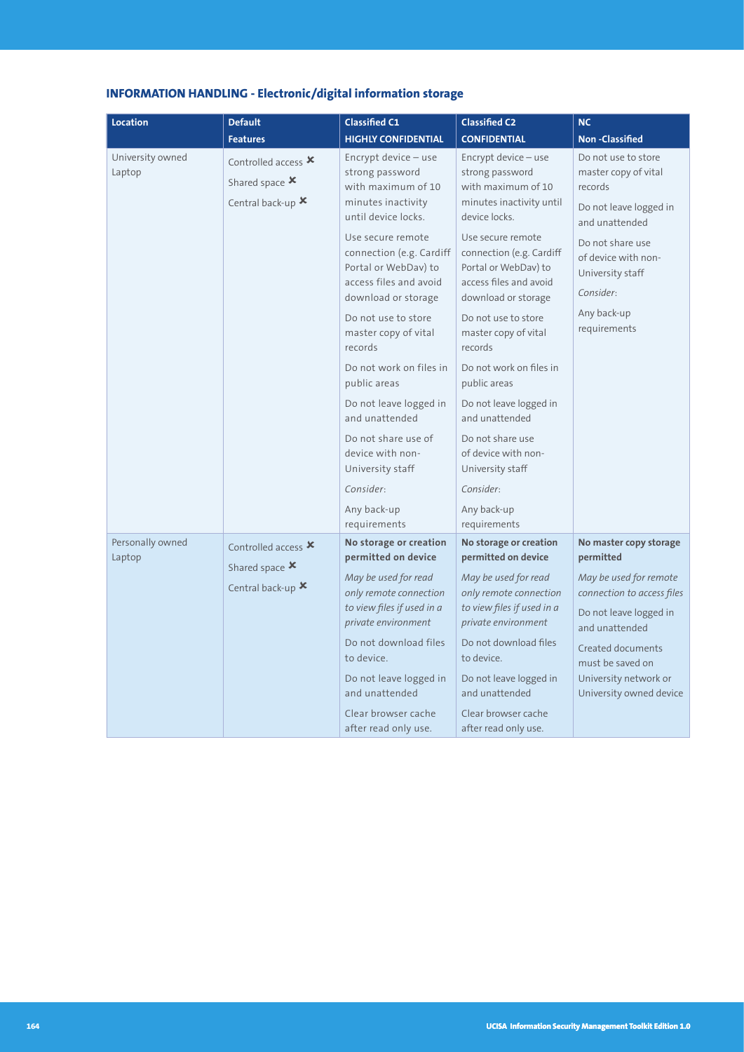| <b>INFORMATION HANDLING - Electronic/digital information storage</b> |  |
|----------------------------------------------------------------------|--|
|----------------------------------------------------------------------|--|

| <b>Location</b>            | <b>Default</b>                                                                                    | <b>Classified C1</b>                                                                                                   | <b>Classified C2</b>                                                                                                   | <b>NC</b>                                                                                          |
|----------------------------|---------------------------------------------------------------------------------------------------|------------------------------------------------------------------------------------------------------------------------|------------------------------------------------------------------------------------------------------------------------|----------------------------------------------------------------------------------------------------|
|                            | <b>Features</b>                                                                                   | <b>HIGHLY CONFIDENTIAL</b>                                                                                             | <b>CONFIDENTIAL</b>                                                                                                    | <b>Non-Classified</b>                                                                              |
| University owned<br>Laptop | Controlled access $\boldsymbol{\mathsf{x}}$<br>Shared space $\boldsymbol{x}$<br>Central back-up X | Encrypt device - use<br>strong password<br>with maximum of 10<br>minutes inactivity<br>until device locks.             | Encrypt device - use<br>strong password<br>with maximum of 10<br>minutes inactivity until<br>device locks.             | Do not use to store<br>master copy of vital<br>records<br>Do not leave logged in<br>and unattended |
|                            |                                                                                                   | Use secure remote<br>connection (e.g. Cardiff<br>Portal or WebDav) to<br>access files and avoid<br>download or storage | Use secure remote<br>connection (e.g. Cardiff<br>Portal or WebDav) to<br>access files and avoid<br>download or storage | Do not share use<br>of device with non-<br>University staff<br>Consider:                           |
|                            |                                                                                                   | Do not use to store<br>master copy of vital<br>records                                                                 | Do not use to store<br>master copy of vital<br>records                                                                 | Any back-up<br>requirements                                                                        |
|                            |                                                                                                   | Do not work on files in<br>public areas                                                                                | Do not work on files in<br>public areas                                                                                |                                                                                                    |
|                            |                                                                                                   | Do not leave logged in<br>and unattended                                                                               | Do not leave logged in<br>and unattended                                                                               |                                                                                                    |
|                            |                                                                                                   | Do not share use of<br>device with non-<br>University staff                                                            | Do not share use<br>of device with non-<br>University staff                                                            |                                                                                                    |
|                            |                                                                                                   | Consider:                                                                                                              | Consider:                                                                                                              |                                                                                                    |
|                            |                                                                                                   | Any back-up<br>requirements                                                                                            | Any back-up<br>requirements                                                                                            |                                                                                                    |
| Personally owned<br>Laptop | Controlled access X<br>Shared space X                                                             | No storage or creation<br>permitted on device                                                                          | No storage or creation<br>permitted on device                                                                          | No master copy storage<br>permitted                                                                |
|                            | Central back-up X                                                                                 | May be used for read<br>only remote connection                                                                         | May be used for read<br>only remote connection                                                                         | May be used for remote<br>connection to access files                                               |
|                            |                                                                                                   | to view files if used in a<br>private environment                                                                      | to view files if used in a<br>private environment                                                                      | Do not leave logged in<br>and unattended                                                           |
|                            |                                                                                                   | Do not download files<br>to device.                                                                                    | Do not download files<br>to device.                                                                                    | Created documents<br>must be saved on                                                              |
|                            |                                                                                                   | Do not leave logged in<br>and unattended                                                                               | Do not leave logged in<br>and unattended                                                                               | University network or<br>University owned device                                                   |
|                            |                                                                                                   | Clear browser cache<br>after read only use.                                                                            | Clear browser cache<br>after read only use.                                                                            |                                                                                                    |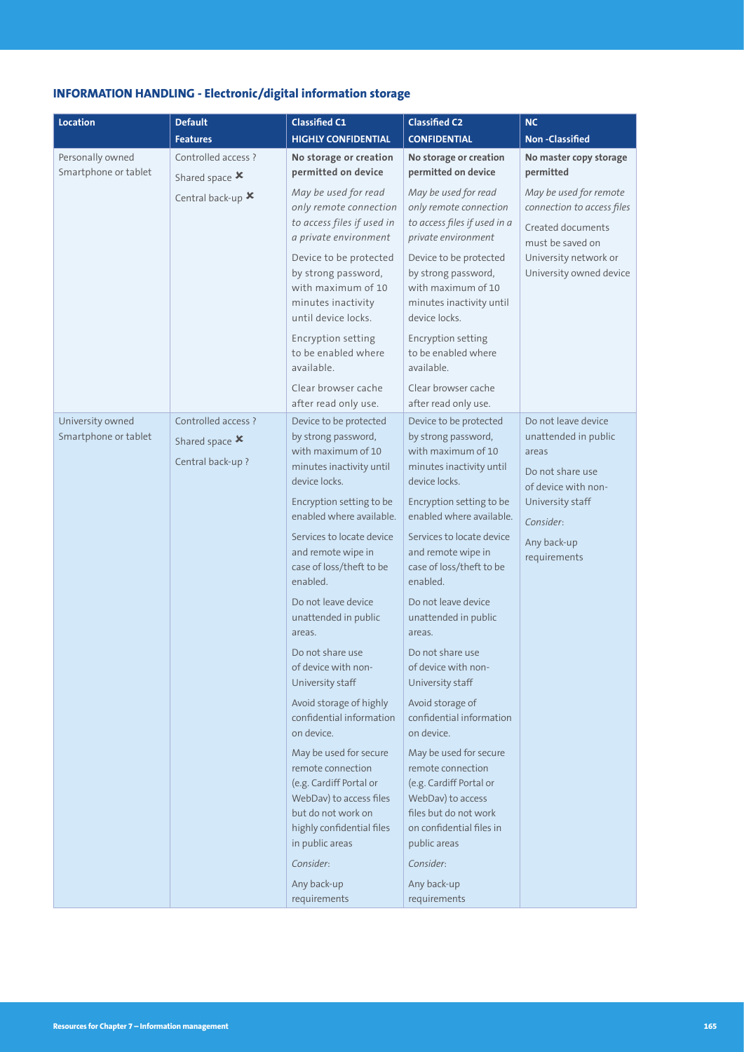## **INFORMATION HANDLING - Electronic/digital information storage**

| <b>Location</b>                          | <b>Default</b>                                                           | <b>Classified C1</b>                                                                                                                                                    | <b>Classified C2</b>                                                                                                                                             | <b>NC</b>                                                                                                                                         |
|------------------------------------------|--------------------------------------------------------------------------|-------------------------------------------------------------------------------------------------------------------------------------------------------------------------|------------------------------------------------------------------------------------------------------------------------------------------------------------------|---------------------------------------------------------------------------------------------------------------------------------------------------|
|                                          | <b>Features</b>                                                          | <b>HIGHLY CONFIDENTIAL</b>                                                                                                                                              | <b>CONFIDENTIAL</b>                                                                                                                                              | <b>Non-Classified</b>                                                                                                                             |
| Personally owned<br>Smartphone or tablet | Controlled access ?<br>Shared space $\boldsymbol{x}$                     | No storage or creation<br>permitted on device                                                                                                                           | No storage or creation<br>permitted on device                                                                                                                    | No master copy storage<br>permitted                                                                                                               |
|                                          | Central back-up X                                                        | May be used for read<br>only remote connection<br>to access files if used in<br>a private environment<br>Device to be protected<br>by strong password,                  | May be used for read<br>only remote connection<br>to access files if used in a<br>private environment<br>Device to be protected<br>by strong password,           | May be used for remote<br>connection to access files<br>Created documents<br>must be saved on<br>University network or<br>University owned device |
|                                          |                                                                          | with maximum of 10<br>minutes inactivity<br>until device locks.                                                                                                         | with maximum of 10<br>minutes inactivity until<br>device locks.                                                                                                  |                                                                                                                                                   |
|                                          |                                                                          | Encryption setting<br>to be enabled where<br>available                                                                                                                  | <b>Encryption setting</b><br>to be enabled where<br>available.                                                                                                   |                                                                                                                                                   |
|                                          |                                                                          | Clear browser cache<br>after read only use.                                                                                                                             | Clear browser cache<br>after read only use.                                                                                                                      |                                                                                                                                                   |
| University owned<br>Smartphone or tablet | Controlled access ?<br>Shared space $\boldsymbol{x}$<br>Central back-up? | Device to be protected<br>by strong password,<br>with maximum of 10<br>minutes inactivity until<br>device locks.                                                        | Device to be protected<br>by strong password,<br>with maximum of 10<br>minutes inactivity until<br>device locks.                                                 | Do not leave device<br>unattended in public<br>areas<br>Do not share use                                                                          |
|                                          |                                                                          | Encryption setting to be<br>enabled where available.                                                                                                                    | Encryption setting to be<br>enabled where available.                                                                                                             | of device with non-<br>University staff<br>Consider:<br>Any back-up<br>requirements                                                               |
|                                          |                                                                          | Services to locate device<br>and remote wipe in<br>case of loss/theft to be<br>enabled.                                                                                 | Services to locate device<br>and remote wipe in<br>case of loss/theft to be<br>enabled.                                                                          |                                                                                                                                                   |
|                                          |                                                                          | Do not leave device<br>unattended in public<br>areas.                                                                                                                   | Do not leave device<br>unattended in public<br>areas.                                                                                                            |                                                                                                                                                   |
|                                          |                                                                          | Do not share use<br>of device with non-<br>University staff                                                                                                             | Do not share use<br>of device with non-<br>University staff                                                                                                      |                                                                                                                                                   |
|                                          |                                                                          | Avoid storage of highly<br>confidential information<br>on device.                                                                                                       | Avoid storage of<br>confidential information<br>on device.                                                                                                       |                                                                                                                                                   |
|                                          |                                                                          | May be used for secure<br>remote connection<br>(e.g. Cardiff Portal or<br>WebDav) to access files<br>but do not work on<br>highly confidential files<br>in public areas | May be used for secure<br>remote connection<br>(e.g. Cardiff Portal or<br>WebDav) to access<br>files but do not work<br>on confidential files in<br>public areas |                                                                                                                                                   |
|                                          |                                                                          | Consider:                                                                                                                                                               | Consider:                                                                                                                                                        |                                                                                                                                                   |
|                                          |                                                                          | Any back-up<br>requirements                                                                                                                                             | Any back-up<br>requirements                                                                                                                                      |                                                                                                                                                   |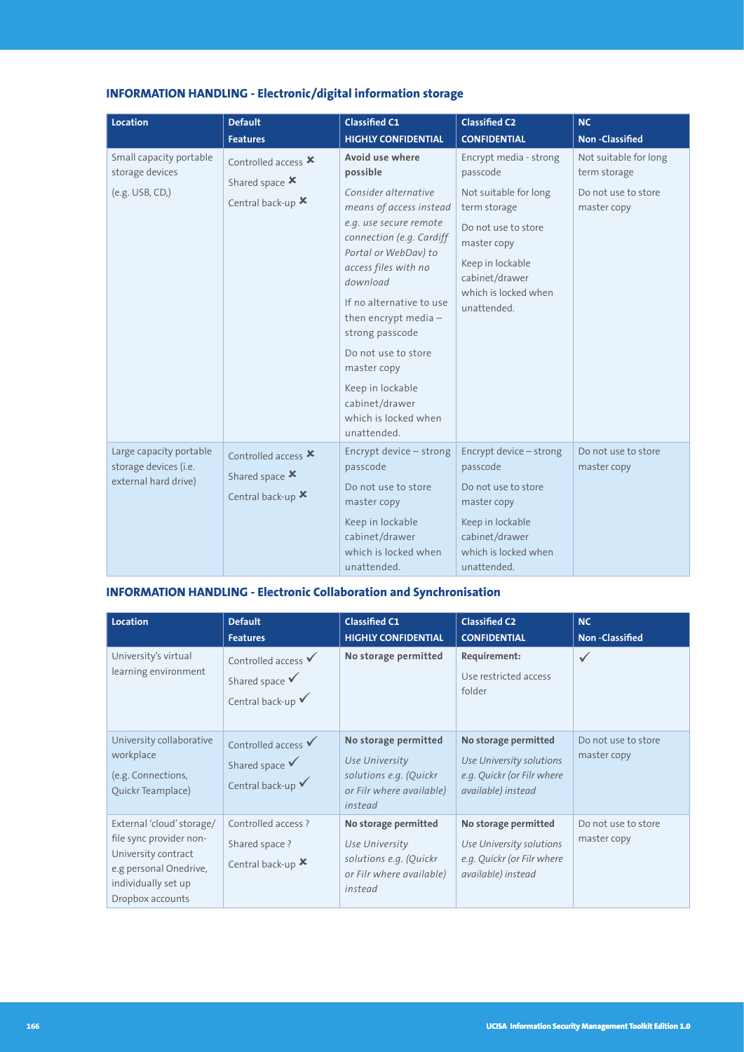| Location                                                                 | <b>Default</b>                                                                     | <b>Classified C1</b>                                                                                                                                                                                                                                                                                                                                                                         | <b>Classified C2</b>                                                                                                                                                                           | <b>NC</b>                                                                   |
|--------------------------------------------------------------------------|------------------------------------------------------------------------------------|----------------------------------------------------------------------------------------------------------------------------------------------------------------------------------------------------------------------------------------------------------------------------------------------------------------------------------------------------------------------------------------------|------------------------------------------------------------------------------------------------------------------------------------------------------------------------------------------------|-----------------------------------------------------------------------------|
|                                                                          | <b>Features</b>                                                                    | <b>HIGHLY CONFIDENTIAL</b>                                                                                                                                                                                                                                                                                                                                                                   | <b>CONFIDENTIAL</b>                                                                                                                                                                            | <b>Non-Classified</b>                                                       |
| Small capacity portable<br>storage devices<br>$(e.g. USB, CD),$          | Controlled access X<br>Shared space X<br>Central back-up X                         | Avoid use where<br>possible<br>Consider alternative<br>means of access instead<br>e.g. use secure remote<br>connection (e.g. Cardiff<br>Portal or WebDav) to<br>access files with no<br>download<br>If no alternative to use<br>then encrypt media $-$<br>strong passcode<br>Do not use to store<br>master copy<br>Keep in lockable<br>cabinet/drawer<br>which is locked when<br>unattended. | Encrypt media - strong<br>passcode<br>Not suitable for long<br>term storage<br>Do not use to store<br>master copy<br>Keep in lockable<br>cabinet/drawer<br>which is locked when<br>unattended. | Not suitable for long<br>term storage<br>Do not use to store<br>master copy |
| Large capacity portable<br>storage devices (i.e.<br>external hard drive) | Controlled access $\boldsymbol{\mathsf{x}}$<br>Shared space X<br>Central back-up X | Encrypt device - strong<br>passcode<br>Do not use to store<br>master copy<br>Keep in lockable<br>cabinet/drawer<br>which is locked when<br>unattended.                                                                                                                                                                                                                                       | Encrypt device - strong<br>passcode<br>Do not use to store<br>master copy<br>Keep in lockable<br>cabinet/drawer<br>which is locked when<br>unattended.                                         | Do not use to store<br>master copy                                          |

## **INFORMATION HANDLING - Electronic/digital information storage**

## **INFORMATION HANDLING - Electronic Collaboration and Synchronisation**

| <b>Location</b>                                                                                                                                  | <b>Default</b><br><b>Features</b>                                                           | <b>Classified C1</b><br><b>HIGHLY CONFIDENTIAL</b>                                                      | <b>Classified C2</b><br><b>CONFIDENTIAL</b>                                                          | <b>NC</b><br><b>Non-Classified</b> |
|--------------------------------------------------------------------------------------------------------------------------------------------------|---------------------------------------------------------------------------------------------|---------------------------------------------------------------------------------------------------------|------------------------------------------------------------------------------------------------------|------------------------------------|
| University's virtual<br>learning environment                                                                                                     | Controlled access $\checkmark$<br>Shared space $\checkmark$<br>Central back-up $\checkmark$ | No storage permitted                                                                                    | Requirement:<br>Use restricted access<br>folder                                                      | $\checkmark$                       |
| University collaborative<br>workplace<br>(e.g. Connections,<br>Quickr Teamplace)                                                                 | Controlled access $\checkmark$<br>Shared space $\checkmark$<br>Central back-up ✔            | No storage permitted<br>Use University<br>solutions e.g. (Quickr<br>or Filr where available)<br>instead | No storage permitted<br>Use University solutions<br>e.g. Quickr (or Filr where<br>available) instead | Do not use to store<br>master copy |
| External 'cloud' storage/<br>file sync provider non-<br>University contract<br>e.g personal Onedrive,<br>individually set up<br>Dropbox accounts | Controlled access ?<br>Shared space ?<br>Central back-up X                                  | No storage permitted<br>Use University<br>solutions e.g. (Quickr<br>or Filr where available)<br>instead | No storage permitted<br>Use University solutions<br>e.g. Quickr (or Filr where<br>available) instead | Do not use to store<br>master copy |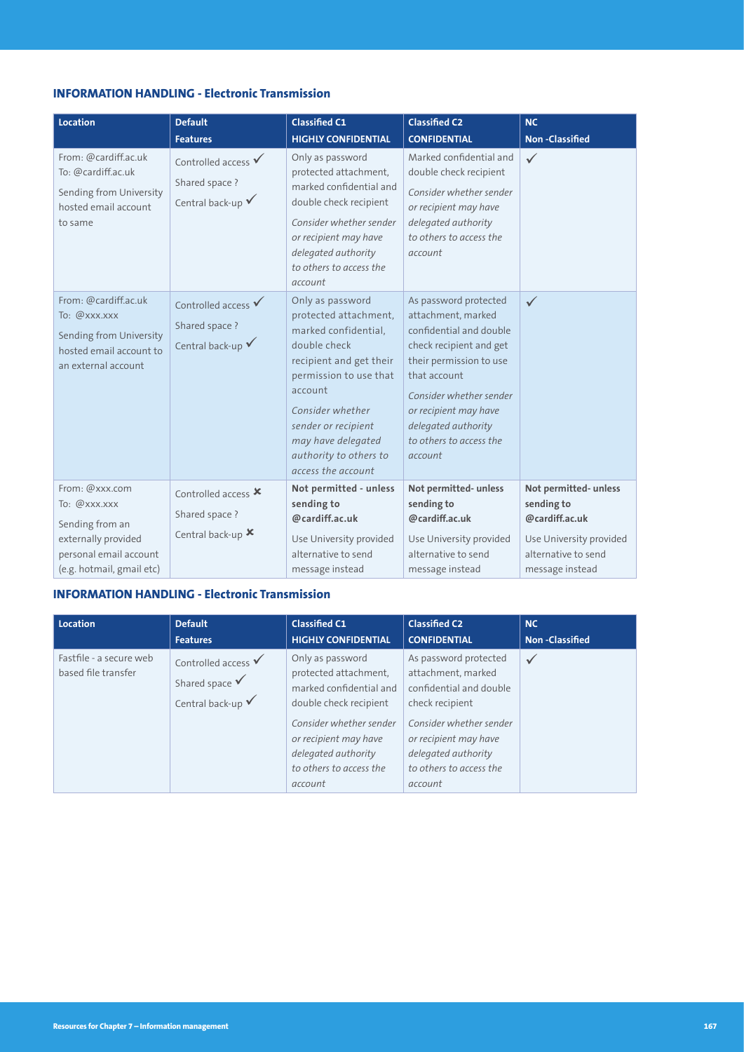### **INFORMATION HANDLING - Electronic Transmission**

| <b>Location</b><br>From: @cardiff.ac.uk<br>To: @cardiff.ac.uk<br>Sending from University<br>hosted email account<br>to same     | <b>Default</b><br><b>Features</b><br>Controlled access $\checkmark$<br>Shared space ?<br>Central back-up $\checkmark$ | <b>Classified C1</b><br><b>HIGHLY CONFIDENTIAL</b><br>Only as password<br>protected attachment,<br>marked confidential and<br>double check recipient<br>Consider whether sender<br>or recipient may have<br>delegated authority<br>to others to access the                    | <b>Classified C2</b><br><b>CONFIDENTIAL</b><br>Marked confidential and<br>double check recipient<br>Consider whether sender<br>or recipient may have<br>delegated authority<br>to others to access the<br>account                                             | <b>NC</b><br><b>Non-Classified</b><br>$\checkmark$                                                                         |
|---------------------------------------------------------------------------------------------------------------------------------|-----------------------------------------------------------------------------------------------------------------------|-------------------------------------------------------------------------------------------------------------------------------------------------------------------------------------------------------------------------------------------------------------------------------|---------------------------------------------------------------------------------------------------------------------------------------------------------------------------------------------------------------------------------------------------------------|----------------------------------------------------------------------------------------------------------------------------|
| From: @cardiff.ac.uk<br>To: @xxx.xxx<br>Sending from University<br>hosted email account to<br>an external account               | Controlled access $\checkmark$<br>Shared space ?<br>Central back-up $\checkmark$                                      | account<br>Only as password<br>protected attachment,<br>marked confidential,<br>double check<br>recipient and get their<br>permission to use that<br>account<br>Consider whether<br>sender or recipient<br>may have delegated<br>authority to others to<br>access the account | As password protected<br>attachment, marked<br>confidential and double<br>check recipient and get<br>their permission to use<br>that account<br>Consider whether sender<br>or recipient may have<br>delegated authority<br>to others to access the<br>account | $\checkmark$                                                                                                               |
| From: @xxx.com<br>To: @xxx.xxx<br>Sending from an<br>externally provided<br>personal email account<br>(e.g. hotmail, gmail etc) | Controlled access X<br>Shared space ?<br>Central back-up X                                                            | Not permitted - unless<br>sending to<br>@cardiff.ac.uk<br>Use University provided<br>alternative to send<br>message instead                                                                                                                                                   | Not permitted- unless<br>sending to<br>@cardiff.ac.uk<br>Use University provided<br>alternative to send<br>message instead                                                                                                                                    | Not permitted- unless<br>sending to<br>@cardiff.ac.uk<br>Use University provided<br>alternative to send<br>message instead |

#### **INFORMATION HANDLING - Electronic Transmission**

| Location                                       | <b>Default</b>                                                                              | <b>Classified C1</b>                                                                                                                                                                                            | <b>Classified C2</b>                                                                                                                                                                                       | <b>NC</b>             |
|------------------------------------------------|---------------------------------------------------------------------------------------------|-----------------------------------------------------------------------------------------------------------------------------------------------------------------------------------------------------------------|------------------------------------------------------------------------------------------------------------------------------------------------------------------------------------------------------------|-----------------------|
|                                                | <b>Features</b>                                                                             | <b>HIGHLY CONFIDENTIAL</b>                                                                                                                                                                                      | <b>CONFIDENTIAL</b>                                                                                                                                                                                        | <b>Non-Classified</b> |
| Fastfile - a secure web<br>based file transfer | Controlled access $\checkmark$<br>Shared space $\checkmark$<br>Central back-up $\checkmark$ | Only as password<br>protected attachment.<br>marked confidential and<br>double check recipient<br>Consider whether sender<br>or recipient may have<br>delegated authority<br>to others to access the<br>account | As password protected<br>attachment, marked<br>confidential and double<br>check recipient<br>Consider whether sender<br>or recipient may have<br>delegated authority<br>to others to access the<br>account | $\checkmark$          |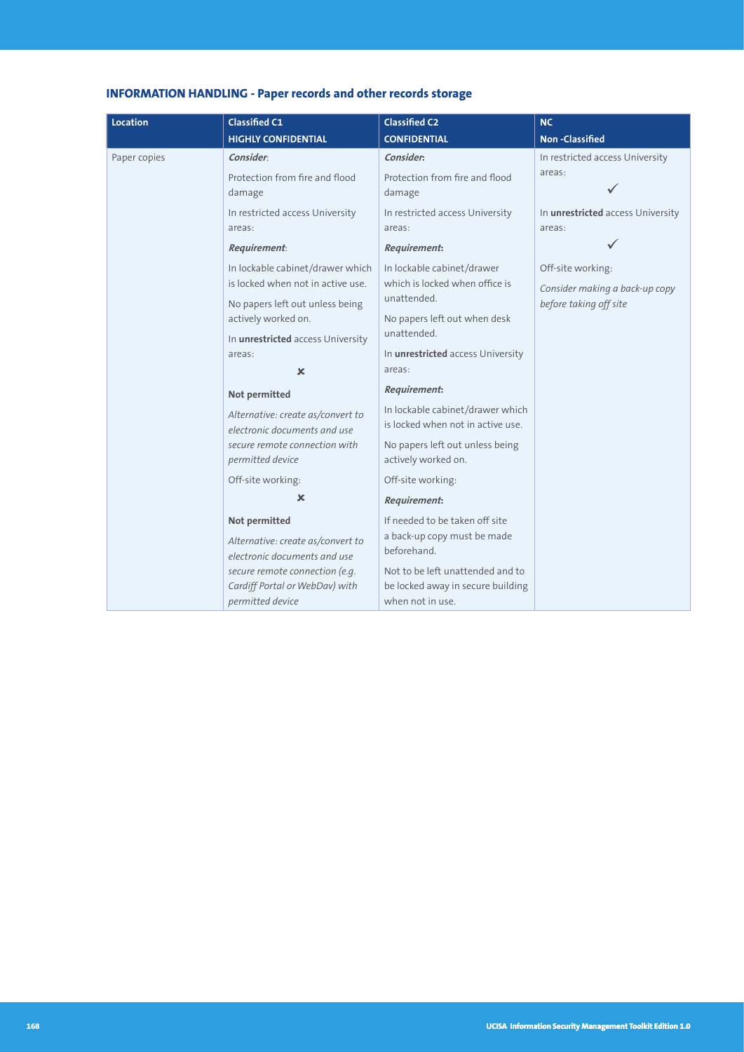## **INFORMATION HANDLING - Paper records and other records storage**

| <b>Location</b> | <b>Classified C1</b>                                                                 | <b>Classified C2</b>                                                                      | <b>NC</b>                                   |
|-----------------|--------------------------------------------------------------------------------------|-------------------------------------------------------------------------------------------|---------------------------------------------|
|                 | <b>HIGHLY CONFIDENTIAL</b>                                                           | <b>CONFIDENTIAL</b>                                                                       | <b>Non-Classified</b>                       |
| Paper copies    | Consider:                                                                            | Consider:                                                                                 | In restricted access University             |
|                 | Protection from fire and flood<br>damage                                             | Protection from fire and flood<br>damage                                                  | areas:                                      |
|                 | In restricted access University<br>areas:                                            | In restricted access University<br>areas:                                                 | In unrestricted access University<br>areas: |
|                 | Requirement:                                                                         | <b>Requirement:</b>                                                                       |                                             |
|                 | In lockable cabinet/drawer which                                                     | In lockable cabinet/drawer                                                                | Off-site working:                           |
|                 | is locked when not in active use.                                                    | which is locked when office is                                                            | Consider making a back-up copy              |
|                 | No papers left out unless being<br>actively worked on.                               | unattended.<br>No papers left out when desk                                               | before taking off site                      |
|                 | In unrestricted access University                                                    | unattended.                                                                               |                                             |
|                 | areas:                                                                               | In unrestricted access University                                                         |                                             |
|                 | $\mathbf x$                                                                          | areas:                                                                                    |                                             |
|                 | Not permitted                                                                        | <b>Requirement:</b>                                                                       |                                             |
|                 | Alternative: create as/convert to<br>electronic documents and use                    | In lockable cabinet/drawer which<br>is locked when not in active use.                     |                                             |
|                 | secure remote connection with<br>permitted device                                    | No papers left out unless being<br>actively worked on.                                    |                                             |
|                 | Off-site working:                                                                    | Off-site working:                                                                         |                                             |
|                 | ×                                                                                    | <b>Requirement:</b>                                                                       |                                             |
|                 | Not permitted                                                                        | If needed to be taken off site                                                            |                                             |
|                 | Alternative: create as/convert to<br>electronic documents and use                    | a back-up copy must be made<br>beforehand.                                                |                                             |
|                 | secure remote connection (e.g.<br>Cardiff Portal or WebDav) with<br>permitted device | Not to be left unattended and to<br>be locked away in secure building<br>when not in use. |                                             |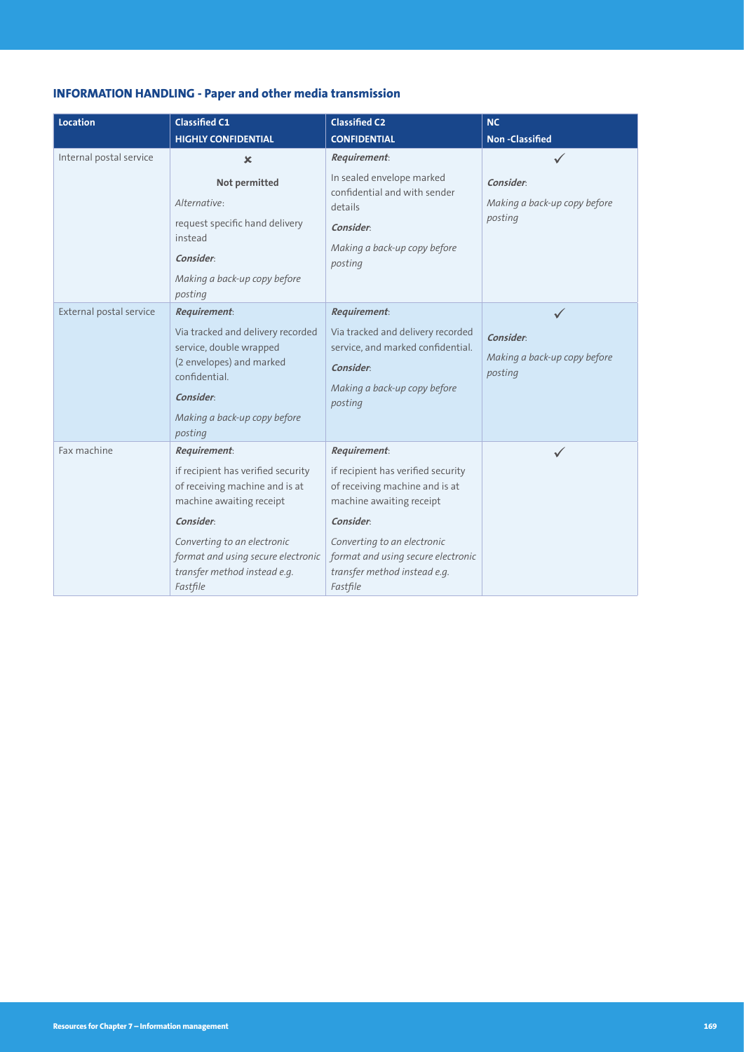## **INFORMATION HANDLING - Paper and other media transmission**

| <b>Location</b>         | <b>Classified C1</b><br><b>HIGHLY CONFIDENTIAL</b>                                                                                                                                                                                                    | <b>Classified C2</b><br><b>CONFIDENTIAL</b>                                                                                                                                                                                                           | <b>NC</b><br><b>Non-Classified</b>                   |
|-------------------------|-------------------------------------------------------------------------------------------------------------------------------------------------------------------------------------------------------------------------------------------------------|-------------------------------------------------------------------------------------------------------------------------------------------------------------------------------------------------------------------------------------------------------|------------------------------------------------------|
| Internal postal service | $\mathbf x$<br>Not permitted<br>Alternative:<br>request specific hand delivery<br>instead<br>Consider:<br>Making a back-up copy before<br>posting                                                                                                     | <b>Requirement:</b><br>In sealed envelope marked<br>confidential and with sender<br>details<br>Consider:<br>Making a back-up copy before<br>posting                                                                                                   | Consider:<br>Making a back-up copy before<br>posting |
| External postal service | <b>Requirement:</b><br>Via tracked and delivery recorded<br>service, double wrapped<br>(2 envelopes) and marked<br>confidential.<br>Consider:<br>Making a back-up copy before<br>posting                                                              | <b>Requirement:</b><br>Via tracked and delivery recorded<br>service, and marked confidential.<br><b>Consider</b><br>Making a back-up copy before<br>posting                                                                                           | Consider:<br>Making a back-up copy before<br>posting |
| Fax machine             | <b>Requirement:</b><br>if recipient has verified security<br>of receiving machine and is at<br>machine awaiting receipt<br>Consider:<br>Converting to an electronic<br>format and using secure electronic<br>transfer method instead e.g.<br>Fastfile | <b>Requirement:</b><br>if recipient has verified security<br>of receiving machine and is at<br>machine awaiting receipt<br>Consider:<br>Converting to an electronic<br>format and using secure electronic<br>transfer method instead e.g.<br>Fastfile | $\checkmark$                                         |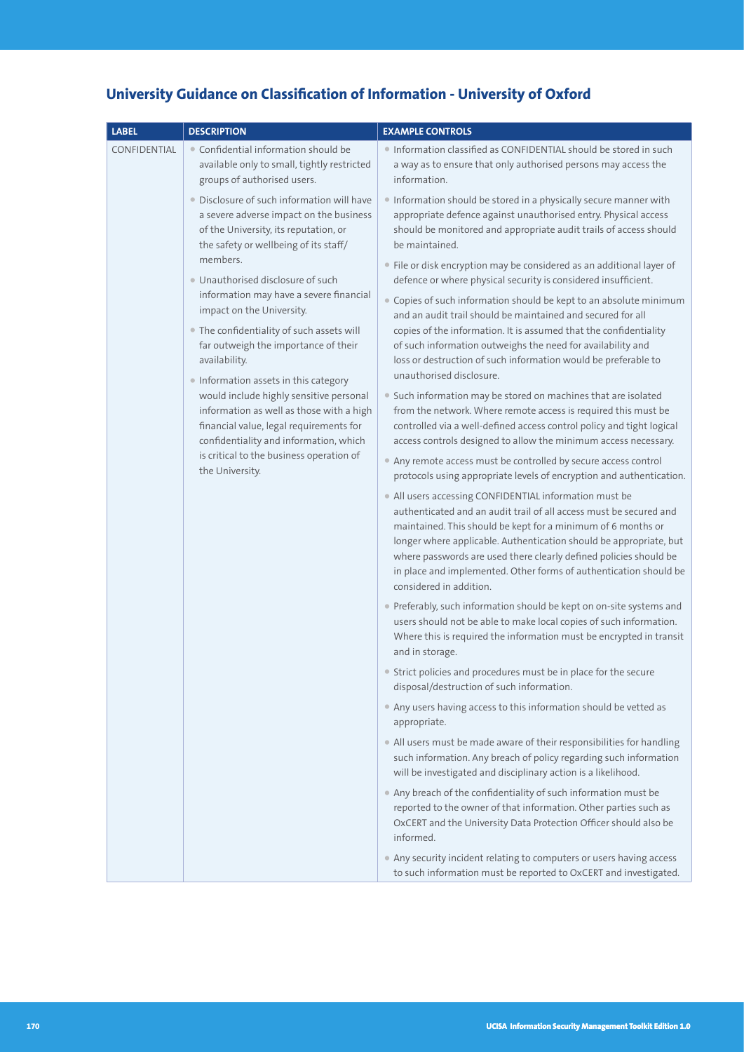| <b>LABEL</b>                                                                                                                                                                                                                                                                                                                                                                                                                                                                                                                                                                                                                                                                                                                                                                                                                     | <b>DESCRIPTION</b>                                                                                                                                                                                                                                                           | <b>EXAMPLE CONTROLS</b>                                                                                                                                                                                                                                                                                                                                                                                                                 |
|----------------------------------------------------------------------------------------------------------------------------------------------------------------------------------------------------------------------------------------------------------------------------------------------------------------------------------------------------------------------------------------------------------------------------------------------------------------------------------------------------------------------------------------------------------------------------------------------------------------------------------------------------------------------------------------------------------------------------------------------------------------------------------------------------------------------------------|------------------------------------------------------------------------------------------------------------------------------------------------------------------------------------------------------------------------------------------------------------------------------|-----------------------------------------------------------------------------------------------------------------------------------------------------------------------------------------------------------------------------------------------------------------------------------------------------------------------------------------------------------------------------------------------------------------------------------------|
| • Confidential information should be<br>CONFIDENTIAL<br>available only to small, tightly restricted<br>groups of authorised users.<br>· Disclosure of such information will have<br>a severe adverse impact on the business<br>of the University, its reputation, or<br>the safety or wellbeing of its staff/<br>members.<br>· Unauthorised disclosure of such<br>information may have a severe financial<br>impact on the University.<br>• The confidentiality of such assets will<br>far outweigh the importance of their<br>availability.<br>· Information assets in this category<br>would include highly sensitive personal<br>information as well as those with a high<br>financial value, legal requirements for<br>confidentiality and information, which<br>is critical to the business operation of<br>the University. |                                                                                                                                                                                                                                                                              | · Information classified as CONFIDENTIAL should be stored in such<br>a way as to ensure that only authorised persons may access the<br>information.                                                                                                                                                                                                                                                                                     |
|                                                                                                                                                                                                                                                                                                                                                                                                                                                                                                                                                                                                                                                                                                                                                                                                                                  |                                                                                                                                                                                                                                                                              | Information should be stored in a physically secure manner with<br>appropriate defence against unauthorised entry. Physical access<br>should be monitored and appropriate audit trails of access should<br>be maintained.                                                                                                                                                                                                               |
|                                                                                                                                                                                                                                                                                                                                                                                                                                                                                                                                                                                                                                                                                                                                                                                                                                  |                                                                                                                                                                                                                                                                              | • File or disk encryption may be considered as an additional layer of<br>defence or where physical security is considered insufficient.                                                                                                                                                                                                                                                                                                 |
|                                                                                                                                                                                                                                                                                                                                                                                                                                                                                                                                                                                                                                                                                                                                                                                                                                  |                                                                                                                                                                                                                                                                              | • Copies of such information should be kept to an absolute minimum<br>and an audit trail should be maintained and secured for all<br>copies of the information. It is assumed that the confidentiality                                                                                                                                                                                                                                  |
|                                                                                                                                                                                                                                                                                                                                                                                                                                                                                                                                                                                                                                                                                                                                                                                                                                  |                                                                                                                                                                                                                                                                              | of such information outweighs the need for availability and<br>loss or destruction of such information would be preferable to<br>unauthorised disclosure.                                                                                                                                                                                                                                                                               |
|                                                                                                                                                                                                                                                                                                                                                                                                                                                                                                                                                                                                                                                                                                                                                                                                                                  | • Such information may be stored on machines that are isolated<br>from the network. Where remote access is required this must be<br>controlled via a well-defined access control policy and tight logical<br>access controls designed to allow the minimum access necessary. |                                                                                                                                                                                                                                                                                                                                                                                                                                         |
|                                                                                                                                                                                                                                                                                                                                                                                                                                                                                                                                                                                                                                                                                                                                                                                                                                  |                                                                                                                                                                                                                                                                              | • Any remote access must be controlled by secure access control<br>protocols using appropriate levels of encryption and authentication.                                                                                                                                                                                                                                                                                                 |
|                                                                                                                                                                                                                                                                                                                                                                                                                                                                                                                                                                                                                                                                                                                                                                                                                                  |                                                                                                                                                                                                                                                                              | • All users accessing CONFIDENTIAL information must be<br>authenticated and an audit trail of all access must be secured and<br>maintained. This should be kept for a minimum of 6 months or<br>longer where applicable. Authentication should be appropriate, but<br>where passwords are used there clearly defined policies should be<br>in place and implemented. Other forms of authentication should be<br>considered in addition. |
|                                                                                                                                                                                                                                                                                                                                                                                                                                                                                                                                                                                                                                                                                                                                                                                                                                  |                                                                                                                                                                                                                                                                              | • Preferably, such information should be kept on on-site systems and<br>users should not be able to make local copies of such information.<br>Where this is required the information must be encrypted in transit<br>and in storage.                                                                                                                                                                                                    |
|                                                                                                                                                                                                                                                                                                                                                                                                                                                                                                                                                                                                                                                                                                                                                                                                                                  |                                                                                                                                                                                                                                                                              | • Strict policies and procedures must be in place for the secure<br>disposal/destruction of such information.                                                                                                                                                                                                                                                                                                                           |
|                                                                                                                                                                                                                                                                                                                                                                                                                                                                                                                                                                                                                                                                                                                                                                                                                                  |                                                                                                                                                                                                                                                                              | • Any users having access to this information should be vetted as<br>appropriate.                                                                                                                                                                                                                                                                                                                                                       |
|                                                                                                                                                                                                                                                                                                                                                                                                                                                                                                                                                                                                                                                                                                                                                                                                                                  |                                                                                                                                                                                                                                                                              | • All users must be made aware of their responsibilities for handling<br>such information. Any breach of policy regarding such information<br>will be investigated and disciplinary action is a likelihood.                                                                                                                                                                                                                             |
|                                                                                                                                                                                                                                                                                                                                                                                                                                                                                                                                                                                                                                                                                                                                                                                                                                  |                                                                                                                                                                                                                                                                              | • Any breach of the confidentiality of such information must be<br>reported to the owner of that information. Other parties such as<br>OxCERT and the University Data Protection Officer should also be<br>informed.                                                                                                                                                                                                                    |
|                                                                                                                                                                                                                                                                                                                                                                                                                                                                                                                                                                                                                                                                                                                                                                                                                                  |                                                                                                                                                                                                                                                                              | • Any security incident relating to computers or users having access<br>to such information must be reported to OxCERT and investigated.                                                                                                                                                                                                                                                                                                |

## **University Guidance on Classification of Information - University of Oxford**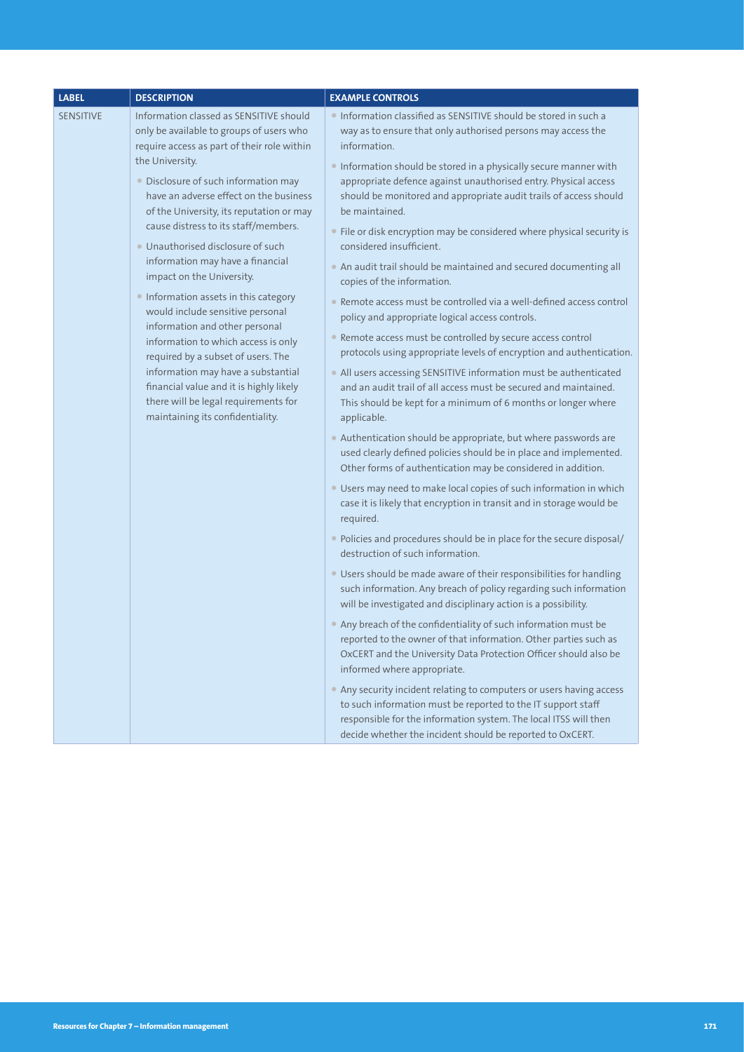| <b>LABEL</b>                                                                                                                                                                                                                                                                                                                                                                                                                                                                                                                                                                                                                                                                                                                                                                                            | <b>DESCRIPTION</b>                                                                                                                                                                                                    | <b>EXAMPLE CONTROLS</b>                                                                                                                                                                                                                                                                               |
|---------------------------------------------------------------------------------------------------------------------------------------------------------------------------------------------------------------------------------------------------------------------------------------------------------------------------------------------------------------------------------------------------------------------------------------------------------------------------------------------------------------------------------------------------------------------------------------------------------------------------------------------------------------------------------------------------------------------------------------------------------------------------------------------------------|-----------------------------------------------------------------------------------------------------------------------------------------------------------------------------------------------------------------------|-------------------------------------------------------------------------------------------------------------------------------------------------------------------------------------------------------------------------------------------------------------------------------------------------------|
| Information classed as SENSITIVE should<br>SENSITIVE<br>only be available to groups of users who<br>require access as part of their role within<br>the University.<br>· Disclosure of such information may<br>have an adverse effect on the business<br>of the University, its reputation or may<br>cause distress to its staff/members.<br>• Unauthorised disclosure of such<br>information may have a financial<br>impact on the University.<br>• Information assets in this category<br>would include sensitive personal<br>information and other personal<br>information to which access is only<br>required by a subset of users. The<br>information may have a substantial<br>financial value and it is highly likely<br>there will be legal requirements for<br>maintaining its confidentiality. |                                                                                                                                                                                                                       | • Information classified as SENSITIVE should be stored in such a<br>way as to ensure that only authorised persons may access the<br>information.                                                                                                                                                      |
|                                                                                                                                                                                                                                                                                                                                                                                                                                                                                                                                                                                                                                                                                                                                                                                                         |                                                                                                                                                                                                                       | • Information should be stored in a physically secure manner with<br>appropriate defence against unauthorised entry. Physical access<br>should be monitored and appropriate audit trails of access should<br>be maintained.<br>• File or disk encryption may be considered where physical security is |
|                                                                                                                                                                                                                                                                                                                                                                                                                                                                                                                                                                                                                                                                                                                                                                                                         |                                                                                                                                                                                                                       | considered insufficient.<br>• An audit trail should be maintained and secured documenting all<br>copies of the information.                                                                                                                                                                           |
|                                                                                                                                                                                                                                                                                                                                                                                                                                                                                                                                                                                                                                                                                                                                                                                                         |                                                                                                                                                                                                                       | • Remote access must be controlled via a well-defined access control<br>policy and appropriate logical access controls.                                                                                                                                                                               |
|                                                                                                                                                                                                                                                                                                                                                                                                                                                                                                                                                                                                                                                                                                                                                                                                         |                                                                                                                                                                                                                       | • Remote access must be controlled by secure access control<br>protocols using appropriate levels of encryption and authentication.                                                                                                                                                                   |
|                                                                                                                                                                                                                                                                                                                                                                                                                                                                                                                                                                                                                                                                                                                                                                                                         | • All users accessing SENSITIVE information must be authenticated<br>and an audit trail of all access must be secured and maintained.<br>This should be kept for a minimum of 6 months or longer where<br>applicable. |                                                                                                                                                                                                                                                                                                       |
|                                                                                                                                                                                                                                                                                                                                                                                                                                                                                                                                                                                                                                                                                                                                                                                                         |                                                                                                                                                                                                                       | • Authentication should be appropriate, but where passwords are<br>used clearly defined policies should be in place and implemented.<br>Other forms of authentication may be considered in addition.                                                                                                  |
|                                                                                                                                                                                                                                                                                                                                                                                                                                                                                                                                                                                                                                                                                                                                                                                                         |                                                                                                                                                                                                                       | • Users may need to make local copies of such information in which<br>case it is likely that encryption in transit and in storage would be<br>required.                                                                                                                                               |
|                                                                                                                                                                                                                                                                                                                                                                                                                                                                                                                                                                                                                                                                                                                                                                                                         |                                                                                                                                                                                                                       | . Policies and procedures should be in place for the secure disposal/<br>destruction of such information.                                                                                                                                                                                             |
|                                                                                                                                                                                                                                                                                                                                                                                                                                                                                                                                                                                                                                                                                                                                                                                                         |                                                                                                                                                                                                                       | • Users should be made aware of their responsibilities for handling<br>such information. Any breach of policy regarding such information<br>will be investigated and disciplinary action is a possibility.                                                                                            |
|                                                                                                                                                                                                                                                                                                                                                                                                                                                                                                                                                                                                                                                                                                                                                                                                         |                                                                                                                                                                                                                       | Any breach of the confidentiality of such information must be<br>reported to the owner of that information. Other parties such as<br>OxCERT and the University Data Protection Officer should also be<br>informed where appropriate.                                                                  |
|                                                                                                                                                                                                                                                                                                                                                                                                                                                                                                                                                                                                                                                                                                                                                                                                         |                                                                                                                                                                                                                       | • Any security incident relating to computers or users having access<br>to such information must be reported to the IT support staff<br>responsible for the information system. The local ITSS will then<br>decide whether the incident should be reported to OxCERT.                                 |